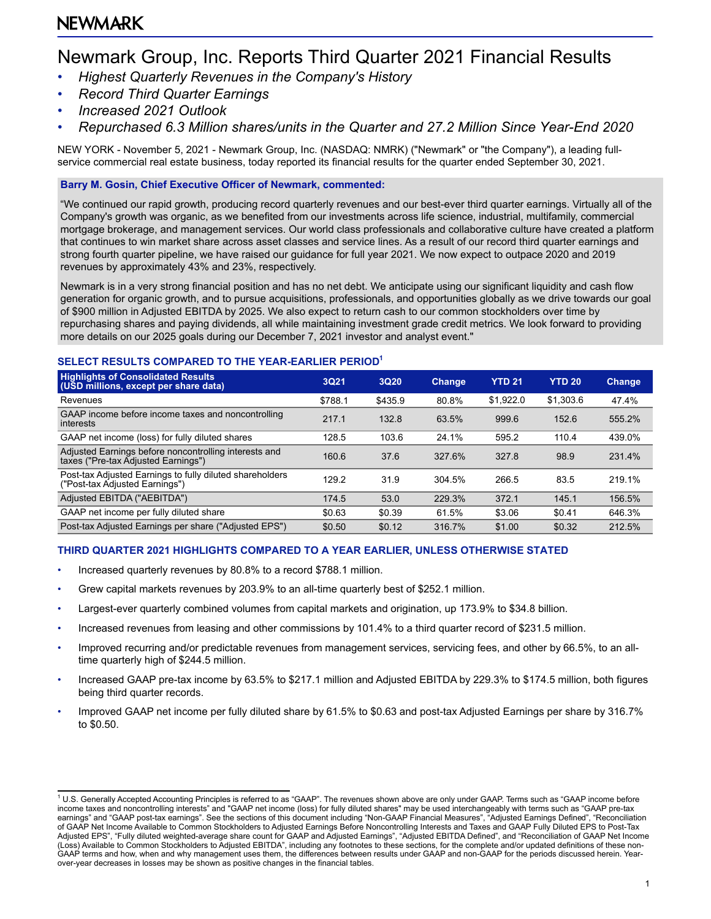## **NEWMARK**

# Newmark Group, Inc. Reports Third Quarter 2021 Financial Results

- *• Highest Quarterly Revenues in the Company's History*
- *• Record Third Quarter Earnings*
- *• Increased 2021 Outlook*
- *Repurchased 6.3 Million shares/units in the Quarter and 27.2 Million Since Year-End 2020*

NEW YORK - November 5, 2021 - Newmark Group, Inc. (NASDAQ: NMRK) ("Newmark" or "the Company"), a leading fullservice commercial real estate business, today reported its financial results for the quarter ended September 30, 2021.

#### **Barry M. Gosin, Chief Executive Officer of Newmark, commented:**

"We continued our rapid growth, producing record quarterly revenues and our best-ever third quarter earnings. Virtually all of the Company's growth was organic, as we benefited from our investments across life science, industrial, multifamily, commercial mortgage brokerage, and management services. Our world class professionals and collaborative culture have created a platform that continues to win market share across asset classes and service lines. As a result of our record third quarter earnings and strong fourth quarter pipeline, we have raised our guidance for full year 2021. We now expect to outpace 2020 and 2019 revenues by approximately 43% and 23%, respectively.

Newmark is in a very strong financial position and has no net debt. We anticipate using our significant liquidity and cash flow generation for organic growth, and to pursue acquisitions, professionals, and opportunities globally as we drive towards our goal of \$900 million in Adjusted EBITDA by 2025. We also expect to return cash to our common stockholders over time by repurchasing shares and paying dividends, all while maintaining investment grade credit metrics. We look forward to providing more details on our 2025 goals during our December 7, 2021 investor and analyst event."

#### **SELECT RESULTS COMPARED TO THE YEAR-EARLIER PERIOD<sup>1</sup>**

| <b>Highlights of Consolidated Results</b><br>(USD millions, except per share data)           | 3Q21    | <b>3Q20</b> | <b>Change</b> | <b>YTD 21</b> | <b>YTD 20</b> | <b>Change</b> |
|----------------------------------------------------------------------------------------------|---------|-------------|---------------|---------------|---------------|---------------|
| Revenues                                                                                     | \$788.1 | \$435.9     | 80.8%         | \$1.922.0     | \$1.303.6     | 47.4%         |
| GAAP income before income taxes and noncontrolling<br>interests                              | 217.1   | 132.8       | 63.5%         | 999.6         | 152.6         | 555.2%        |
| GAAP net income (loss) for fully diluted shares                                              | 128.5   | 103.6       | 24.1%         | 595.2         | 110.4         | 439.0%        |
| Adjusted Earnings before noncontrolling interests and<br>taxes ("Pre-tax Adjusted Earnings") | 160.6   | 37.6        | 327.6%        | 327.8         | 98.9          | 231.4%        |
| Post-tax Adjusted Earnings to fully diluted shareholders<br>("Post-tax Adjusted Earnings")   | 129.2   | 31.9        | 304.5%        | 266.5         | 83.5          | 219.1%        |
| Adjusted EBITDA ("AEBITDA")                                                                  | 174.5   | 53.0        | 229.3%        | 372.1         | 145.1         | 156.5%        |
| GAAP net income per fully diluted share                                                      | \$0.63  | \$0.39      | 61.5%         | \$3.06        | \$0.41        | 646.3%        |
| Post-tax Adjusted Earnings per share ("Adjusted EPS")                                        | \$0.50  | \$0.12      | 316.7%        | \$1.00        | \$0.32        | 212.5%        |

#### **THIRD QUARTER 2021 HIGHLIGHTS COMPARED TO A YEAR EARLIER, UNLESS OTHERWISE STATED**

- Increased quarterly revenues by 80.8% to a record \$788.1 million.
- Grew capital markets revenues by 203.9% to an all-time quarterly best of \$252.1 million.
- Largest-ever quarterly combined volumes from capital markets and origination, up 173.9% to \$34.8 billion.
- Increased revenues from leasing and other commissions by 101.4% to a third quarter record of \$231.5 million.
- Improved recurring and/or predictable revenues from management services, servicing fees, and other by 66.5%, to an alltime quarterly high of \$244.5 million.
- Increased GAAP pre-tax income by 63.5% to \$217.1 million and Adjusted EBITDA by 229.3% to \$174.5 million, both figures being third quarter records.
- Improved GAAP net income per fully diluted share by 61.5% to \$0.63 and post-tax Adjusted Earnings per share by 316.7% to \$0.50.

<sup>&</sup>lt;sup>1</sup> U.S. Generally Accepted Accounting Principles is referred to as "GAAP". The revenues shown above are only under GAAP. Terms such as "GAAP income before income taxes and noncontrolling interests" and "GAAP net income (loss) for fully diluted shares" may be used interchangeably with terms such as "GAAP pre-tax earnings" and "GAAP post-tax earnings". See the sections of this document including "Non-GAAP Financial Measures", "Adjusted Earnings Defined", "Reconciliation of GAAP Net Income Available to Common Stockholders to Adjusted Earnings Before Noncontrolling Interests and Taxes and GAAP Fully Diluted EPS to Post-Tax Adjusted EPS", "Fully diluted weighted-average share count for GAAP and Adjusted Earnings", "Adjusted EBITDA Defined", and "Reconciliation of GAAP Net Income<br>(Loss) Available to Common Stockholders to Adjusted EBITDA", inc GAAP terms and how, when and why management uses them, the differences between results under GAAP and non-GAAP for the periods discussed herein. Yearover-year decreases in losses may be shown as positive changes in the financial tables.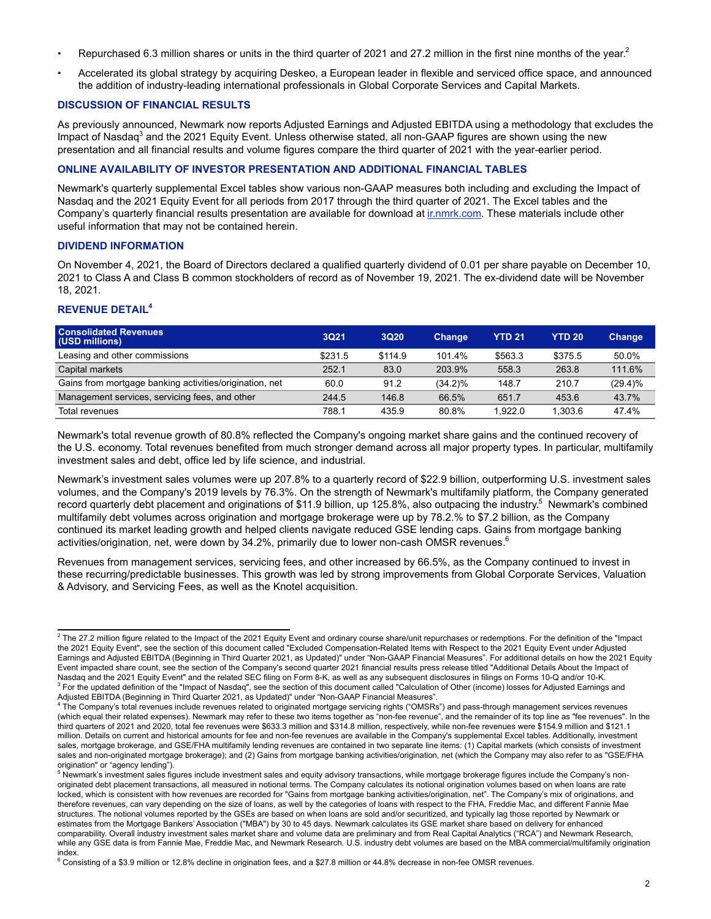- Repurchased 6.3 million shares or units in the third quarter of 2021 and 27.2 million in the first nine months of the year.<sup>2</sup>
- Accelerated its global strategy by acquiring Deskeo, a European leader in flexible and serviced office space, and announced the addition of industry-leading international professionals in Global Corporate Services and Capital Markets.

#### **DISCUSSION OF FINANCIAL RESULTS**

As previously announced, Newmark now reports Adjusted Earnings and Adjusted EBITDA using a methodology that excludes the Impact of Nasdaq<sup>3</sup> and the 2021 Equity Event. Unless otherwise stated, all non-GAAP figures are shown using the new presentation and all financial results and volume figures compare the third quarter of 2021 with the year-earlier period.

#### **ONLINE AVAILABILITY OF INVESTOR PRESENTATION AND ADDITIONAL FINANCIAL TABLES**

Newmark's quarterly supplemental Excel tables show various non-GAAP measures both including and excluding the Impact of Nasdaq and the 2021 Equity Event for all periods from 2017 through the third quarter of 2021. The Excel tables and the Company's quarterly financial results presentation are available for download at innmrk.com. These materials include other useful information that may not be contained herein.

#### **DIVIDEND INFORMATION**

On November 4, 2021, the Board of Directors declared a qualified quarterly dividend of 0.01 per share payable on December 10, 2021 to Class A and Class B common stockholders of record as of November 19, 2021. The ex-dividend date will be November 18, 2021.

#### **REVENUE DETAIL<sup>4</sup>**

| <b>Consolidated Revenues</b><br>(USD millions)          | 3Q21    | <b>3Q20</b> | Change     | <b>YTD 21</b> | <b>YTD 20</b> | <b>Change</b> |
|---------------------------------------------------------|---------|-------------|------------|---------------|---------------|---------------|
| Leasing and other commissions                           | \$231.5 | \$114.9     | 101.4%     | \$563.3       | \$375.5       | 50.0%         |
| Capital markets                                         | 252.1   | 83.0        | 203.9%     | 558.3         | 263.8         | 111.6%        |
| Gains from mortgage banking activities/origination, net | 60.0    | 91.2        | $(34.2)\%$ | 148.7         | 210.7         | $(29.4)\%$    |
| Management services, servicing fees, and other          | 244.5   | 146.8       | 66.5%      | 651.7         | 453.6         | 43.7%         |
| Total revenues                                          | 788.1   | 435.9       | 80.8%      | 1.922.0       | 1.303.6       | 47.4%         |

Newmark's total revenue growth of 80.8% reflected the Company's ongoing market share gains and the continued recovery of the U.S. economy. Total revenues benefited from much stronger demand across all major property types. In particular, multifamily investment sales and debt, office led by life science, and industrial.

Newmark's investment sales volumes were up 207.8% to a quarterly record of \$22.9 billion, outperforming U.S. investment sales volumes, and the Company's 2019 levels by 76.3%. On the strength of Newmark's multifamily platform, the Company generated record quarterly debt placement and originations of \$11.9 billion, up 125.8%, also outpacing the industry.<sup>5</sup> Newmark's combined multifamily debt volumes across origination and mortgage brokerage were up by 78.2.% to \$7.2 billion, as the Company continued its market leading growth and helped clients navigate reduced GSE lending caps. Gains from mortgage banking activities/origination, net, were down by 34.2%, primarily due to lower non-cash OMSR revenues.<sup>6</sup>

Revenues from management services, servicing fees, and other increased by 66.5%, as the Company continued to invest in these recurring/predictable businesses. This growth was led by strong improvements from Global Corporate Services, Valuation & Advisory, and Servicing Fees, as well as the Knotel acquisition.

 $^2$  The 27.2 million figure related to the Impact of the 2021 Equity Event and ordinary course share/unit repurchases or redemptions. For the definition of the "Impact the 2021 Equity Event", see the section of this document called "Excluded Compensation-Related Items with Respect to the 2021 Equity Event under Adjusted Earnings and Adjusted EBITDA (Beginning in Third Quarter 2021, as Updated)" under "Non-GAAP Financial Measures". For additional details on how the 2021 Equity Event impacted share count, see the section of the Company's second quarter 2021 financial results press release titled "Additional Details About the Impact of Nasdaq and the 2021 Equity Event" and the related SEC filing on Form 8-K, as well as any subsequent disclosures in filings on Forms 10-Q and/or 10-K. <sup>3</sup> For the updated definition of the "Impact of Nasdaq", see the section of this document called "Calculation of Other (income) losses for Adjusted Earnings and

Adjusted EBITDA (Beginning in Third Quarter 2021, as Updated)" under "Non-GAAP Financial Measures".<br><sup>4</sup> The Company's total revenues include revenues related to originated mortgage servicing rights ("OMSRs") and pass-throu (which equal their related expenses). Newmark may refer to these two items together as "non-fee revenue", and the remainder of its top line as "fee revenues". In the third quarters of 2021 and 2020, total fee revenues were \$633.3 million and \$314.8 million, respectively, while non-fee revenues were \$154.9 million and \$121.1 million. Details on current and historical amounts for fee and non-fee revenues are available in the Company's supplemental Excel tables. Additionally, investment sales, mortgage brokerage, and GSE/FHA multifamily lending revenues are contained in two separate line items: (1) Capital markets (which consists of investment sales and non-originated mortgage brokerage); and (2) Gains from mortgage banking activities/origination, net (which the Company may also refer to as "GSE/FHA origination" or "agency lending").

 $<sup>5</sup>$  Newmark's investment sales figures include investment sales and equity advisory transactions, while mortgage brokerage figures include the Company's non-</sup> originated debt placement transactions, all measured in notional terms. The Company calculates its notional origination volumes based on when loans are rate locked, which is consistent with how revenues are recorded for "Gains from mortgage banking activities/origination, net". The Company's mix of originations, and therefore revenues, can vary depending on the size of loans, as well by the categories of loans with respect to the FHA, Freddie Mac, and different Fannie Mae structures. The notional volumes reported by the GSEs are based on when loans are sold and/or securitized, and typically lag those reported by Newmark or estimates from the Mortgage Bankers' Association ("MBA") by 30 to 45 days. Newmark calculates its GSE market share based on delivery for enhanced comparability. Overall industry investment sales market share and volume data are preliminary and from Real Capital Analytics ("RCA") and Newmark Research, while any GSE data is from Fannie Mae, Freddie Mac, and Newmark Research. U.S. industry debt volumes are based on the MBA commercial/multifamily origination index.

<sup>&</sup>lt;sup>6</sup> Consisting of a \$3.9 million or 12.8% decline in origination fees, and a \$27.8 million or 44.8% decrease in non-fee OMSR revenues.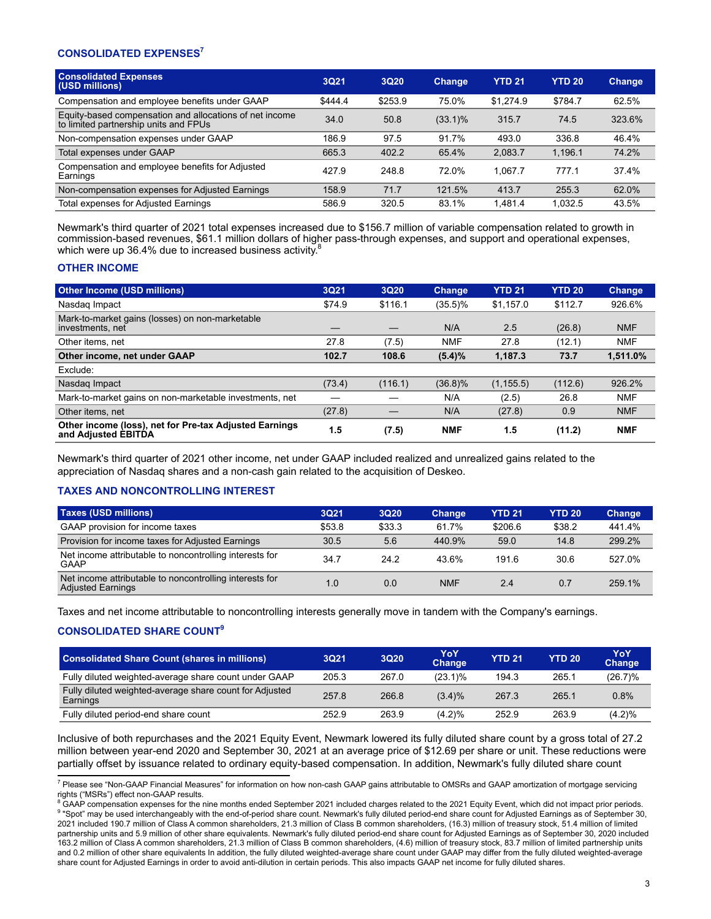#### **CONSOLIDATED EXPENSES<sup>7</sup>**

| <b>Consolidated Expenses</b><br>(USD millions)                                                   | 3Q21    | <b>3Q20</b> | Change     | <b>YTD 21</b> | <b>YTD 20</b> | <b>Change</b> |
|--------------------------------------------------------------------------------------------------|---------|-------------|------------|---------------|---------------|---------------|
| Compensation and employee benefits under GAAP                                                    | \$444.4 | \$253.9     | 75.0%      | \$1.274.9     | \$784.7       | 62.5%         |
| Equity-based compensation and allocations of net income<br>to limited partnership units and FPUs | 34.0    | 50.8        | $(33.1)\%$ | 315.7         | 74.5          | 323.6%        |
| Non-compensation expenses under GAAP                                                             | 186.9   | 97.5        | 91.7%      | 493.0         | 336.8         | 46.4%         |
| Total expenses under GAAP                                                                        | 665.3   | 402.2       | 65.4%      | 2.083.7       | 1.196.1       | 74.2%         |
| Compensation and employee benefits for Adjusted<br>Earnings                                      | 427.9   | 248.8       | 72.0%      | 1.067.7       | 777.1         | 37.4%         |
| Non-compensation expenses for Adjusted Earnings                                                  | 158.9   | 71.7        | 121.5%     | 413.7         | 255.3         | 62.0%         |
| <b>Total expenses for Adjusted Earnings</b>                                                      | 586.9   | 320.5       | 83.1%      | 1.481.4       | 1.032.5       | 43.5%         |

Newmark's third quarter of 2021 total expenses increased due to \$156.7 million of variable compensation related to growth in commission-based revenues, \$61.1 million dollars of higher pass-through expenses, and support and operational expenses, which were up 36.4% due to increased business activity.

#### **OTHER INCOME**

| <b>Other Income (USD millions)</b>                                            | 3Q21   | 3Q20    | <b>Change</b> | <b>YTD 21</b> | <b>YTD 20</b> | <b>Change</b> |
|-------------------------------------------------------------------------------|--------|---------|---------------|---------------|---------------|---------------|
| Nasdag Impact                                                                 | \$74.9 | \$116.1 | $(35.5)\%$    | \$1,157.0     | \$112.7       | 926.6%        |
| Mark-to-market gains (losses) on non-marketable<br>investments, net           |        |         | N/A           | 2.5           | (26.8)        | <b>NMF</b>    |
| Other items, net                                                              | 27.8   | (7.5)   | <b>NMF</b>    | 27.8          | (12.1)        | <b>NMF</b>    |
| Other income, net under GAAP                                                  | 102.7  | 108.6   | $(5.4)\%$     | 1,187.3       | 73.7          | 1,511.0%      |
| Exclude:                                                                      |        |         |               |               |               |               |
| Nasdag Impact                                                                 | (73.4) | (116.1) | $(36.8)\%$    | (1, 155.5)    | (112.6)       | 926.2%        |
| Mark-to-market gains on non-marketable investments, net                       |        |         | N/A           | (2.5)         | 26.8          | <b>NMF</b>    |
| Other items, net                                                              | (27.8) |         | N/A           | (27.8)        | 0.9           | <b>NMF</b>    |
| Other income (loss), net for Pre-tax Adjusted Earnings<br>and Adjusted EBITDA | 1.5    | (7.5)   | <b>NMF</b>    | 1.5           | (11.2)        | <b>NMF</b>    |

Newmark's third quarter of 2021 other income, net under GAAP included realized and unrealized gains related to the appreciation of Nasdaq shares and a non-cash gain related to the acquisition of Deskeo.

#### **TAXES AND NONCONTROLLING INTEREST**

| <b>Taxes (USD millions)</b>                                                         | 3Q21   | 3Q20   | <b>Change</b> | <b>YTD 21</b> | <b>YTD 20</b> | <b>Change</b> |
|-------------------------------------------------------------------------------------|--------|--------|---------------|---------------|---------------|---------------|
| GAAP provision for income taxes                                                     | \$53.8 | \$33.3 | 61.7%         | \$206.6       | \$38.2        | 441.4%        |
| Provision for income taxes for Adjusted Earnings                                    | 30.5   | 5.6    | 440.9%        | 59.0          | 14.8          | 299.2%        |
| Net income attributable to noncontrolling interests for<br><b>GAAP</b>              | 34.7   | 24.2   | 43.6%         | 191.6         | 30.6          | 527.0%        |
| Net income attributable to noncontrolling interests for<br><b>Adjusted Earnings</b> | 1.0    | 0.0    | <b>NMF</b>    | 2.4           | 0.7           | 259.1%        |

Taxes and net income attributable to noncontrolling interests generally move in tandem with the Company's earnings.

#### **CONSOLIDATED SHARE COUNT<sup>9</sup>**

| <b>Consolidated Share Count (shares in millions)</b>                | 3Q21  | 3Q20  | YoY<br><b>Change</b> | <b>YTD 21</b> | <b>YTD 20</b> | YoY<br><b>Change</b> |
|---------------------------------------------------------------------|-------|-------|----------------------|---------------|---------------|----------------------|
| Fully diluted weighted-average share count under GAAP               | 205.3 | 267.0 | $(23.1)\%$           | 194.3         | 265.1         | $(26.7)\%$           |
| Fully diluted weighted-average share count for Adjusted<br>Earnings | 257.8 | 266.8 | $(3.4)\%$            | 267.3         | 265.1         | 0.8%                 |
| Fully diluted period-end share count                                | 252.9 | 263.9 | (4.2)%               | 252.9         | 263.9         | $(4.2)\%$            |

Inclusive of both repurchases and the 2021 Equity Event, Newmark lowered its fully diluted share count by a gross total of 27.2 million between year-end 2020 and September 30, 2021 at an average price of \$12.69 per share or unit. These reductions were partially offset by issuance related to ordinary equity-based compensation. In addition, Newmark's fully diluted share count

<sup>&</sup>lt;sup>7</sup> Please see "Non-GAAP Financial Measures" for information on how non-cash GAAP gains attributable to OMSRs and GAAP amortization of mortgage servicing rights ("MSRs") effect non-GAAP results.

<sup>&</sup>lt;sup>8</sup> GAAP compensation expenses for the nine months ended September 2021 included charges related to the 2021 Equity Event, which did not impact prior periods. <sup>9</sup> "Spot" may be used interchangeably with the end-of-period share count. Newmark's fully diluted period-end share count for Adjusted Earnings as of September 30, 2021 included 190.7 million of Class A common shareholders, 21.3 million of Class B common shareholders, (16.3) million of treasury stock, 51.4 million of limited partnership units and 5.9 million of other share equivalents. Newmark's fully diluted period-end share count for Adjusted Earnings as of September 30, 2020 included 163.2 million of Class A common shareholders, 21.3 million of Class B common shareholders, (4.6) million of treasury stock, 83.7 million of limited partnership units and 0.2 million of other share equivalents In addition, the fully diluted weighted-average share count under GAAP may differ from the fully diluted weighted-average share count for Adjusted Earnings in order to avoid anti-dilution in certain periods. This also impacts GAAP net income for fully diluted shares.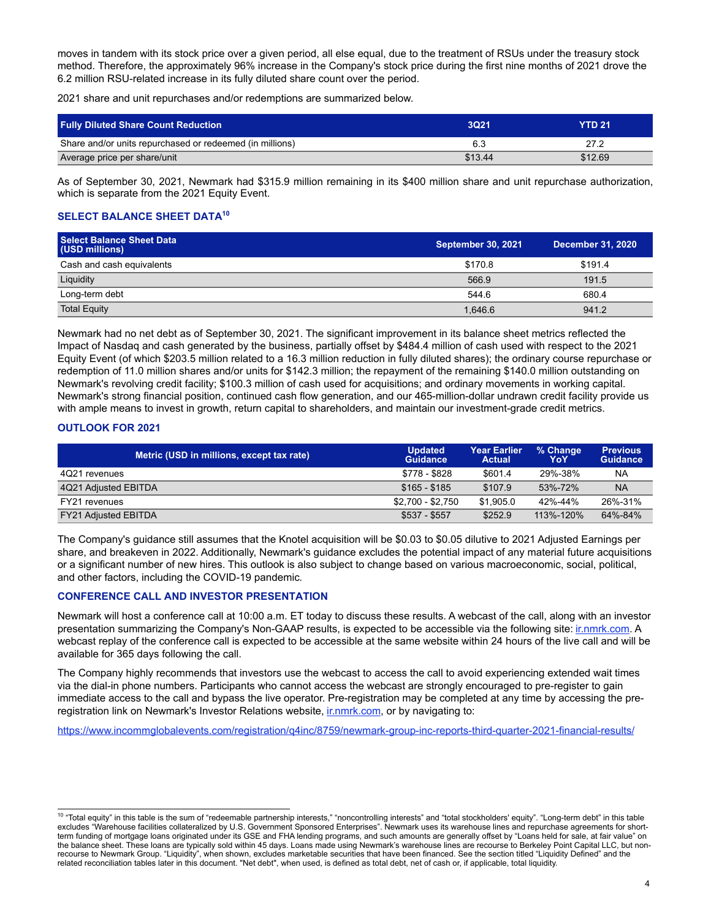moves in tandem with its stock price over a given period, all else equal, due to the treatment of RSUs under the treasury stock method. Therefore, the approximately 96% increase in the Company's stock price during the first nine months of 2021 drove the 6.2 million RSU-related increase in its fully diluted share count over the period.

2021 share and unit repurchases and/or redemptions are summarized below.

| <b>Fully Diluted Share Count Reduction</b>               | 3Q21    | YTD 21  |
|----------------------------------------------------------|---------|---------|
| Share and/or units repurchased or redeemed (in millions) | 6.3     |         |
| Average price per share/unit                             | \$13.44 | \$12.69 |

As of September 30, 2021, Newmark had \$315.9 million remaining in its \$400 million share and unit repurchase authorization, which is separate from the 2021 Equity Event.

#### **SELECT BALANCE SHEET DATA<sup>10</sup>**

| <b>Select Balance Sheet Data</b><br>(USD millions) | <b>September 30, 2021</b> | <b>December 31, 2020</b> |
|----------------------------------------------------|---------------------------|--------------------------|
| Cash and cash equivalents                          | \$170.8                   | \$191.4                  |
| Liquidity                                          | 566.9                     | 191.5                    |
| Long-term debt                                     | 544.6                     | 680.4                    |
| <b>Total Equity</b>                                | 1.646.6                   | 941.2                    |

Newmark had no net debt as of September 30, 2021. The significant improvement in its balance sheet metrics reflected the Impact of Nasdaq and cash generated by the business, partially offset by \$484.4 million of cash used with respect to the 2021 Equity Event (of which \$203.5 million related to a 16.3 million reduction in fully diluted shares); the ordinary course repurchase or redemption of 11.0 million shares and/or units for \$142.3 million; the repayment of the remaining \$140.0 million outstanding on Newmark's revolving credit facility; \$100.3 million of cash used for acquisitions; and ordinary movements in working capital. Newmark's strong financial position, continued cash flow generation, and our 465-million-dollar undrawn credit facility provide us with ample means to invest in growth, return capital to shareholders, and maintain our investment-grade credit metrics.

#### **OUTLOOK FOR 2021**

| Metric (USD in millions, except tax rate) | <b>Updated</b><br><b>Guidance</b> | <b>Year Earlier</b><br>Actual | % Change<br>YoY | <b>Previous</b><br><b>Guidance</b> |
|-------------------------------------------|-----------------------------------|-------------------------------|-----------------|------------------------------------|
| 4Q21 revenues                             | \$778 - \$828                     | \$601.4                       | 29%-38%         | <b>NA</b>                          |
| 4Q21 Adjusted EBITDA                      | $$165 - $185$                     | \$107.9                       | 53%-72%         | <b>NA</b>                          |
| FY21 revenues                             | \$2.700 - \$2.750                 | \$1.905.0                     | 42%-44%         | 26%-31%                            |
| <b>FY21 Adjusted EBITDA</b>               | $$537 - $557$                     | \$252.9                       | 113%-120%       | 64%-84%                            |

The Company's guidance still assumes that the Knotel acquisition will be \$0.03 to \$0.05 dilutive to 2021 Adjusted Earnings per share, and breakeven in 2022. Additionally, Newmark's guidance excludes the potential impact of any material future acquisitions or a significant number of new hires. This outlook is also subject to change based on various macroeconomic, social, political, and other factors, including the COVID-19 pandemic.

#### **CONFERENCE CALL AND INVESTOR PRESENTATION**

Newmark will host a conference call at 10:00 a.m. ET today to discuss these results. A webcast of the call, along with an investor presentation summarizing the Company's Non-GAAP results, is expected to be accessible via the following site: ir.nmrk.com. A webcast replay of the conference call is expected to be accessible at the same website within 24 hours of the live call and will be available for 365 days following the call.

The Company highly recommends that investors use the webcast to access the call to avoid experiencing extended wait times via the dial-in phone numbers. Participants who cannot access the webcast are strongly encouraged to pre-register to gain immediate access to the call and bypass the live operator. Pre-registration may be completed at any time by accessing the preregistration link on Newmark's Investor Relations website, ir.nmrk.com, or by navigating to:

https://www.incommglobalevents.com/registration/g4inc/8759/newmark-group-inc-reports-third-quarter-2021-financial-results/

<sup>&</sup>lt;sup>10</sup> "Total equity" in this table is the sum of "redeemable partnership interests," "noncontrolling interests" and "total stockholders' equity". "Long-term debt" in this table excludes "Warehouse facilities collateralized by U.S. Government Sponsored Enterprises". Newmark uses its warehouse lines and repurchase agreements for shortterm funding of mortgage loans originated under its GSE and FHA lending programs, and such amounts are generally offset by "Loans held for sale, at fair value" on the balance sheet. These loans are typically sold within 45 days. Loans made using Newmark's warehouse lines are recourse to Berkeley Point Capital LLC, but nonrecourse to Newmark Group. "Liquidity", when shown, excludes marketable securities that have been financed. See the section titled "Liquidity Defined" and the related reconciliation tables later in this document. "Net debt", when used, is defined as total debt, net of cash or, if applicable, total liquidity.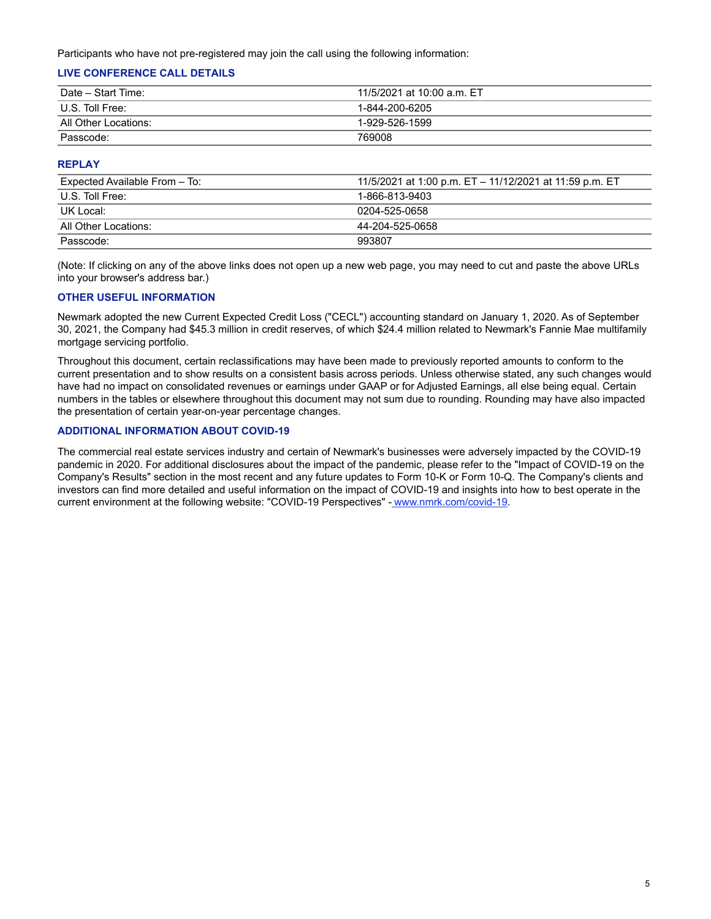Participants who have not pre-registered may join the call using the following information:

#### **LIVE CONFERENCE CALL DETAILS**

| Date - Start Time:   | 11/5/2021 at 10:00 a.m. ET |
|----------------------|----------------------------|
| U.S. Toll Free:      | 1-844-200-6205             |
| All Other Locations: | 1-929-526-1599             |
| Passcode:            | 769008                     |

#### **REPLAY**

| Expected Available From - To: | 11/5/2021 at 1:00 p.m. ET - 11/12/2021 at 11:59 p.m. ET |
|-------------------------------|---------------------------------------------------------|
| U.S. Toll Free:               | 1-866-813-9403                                          |
| UK Local:                     | 0204-525-0658                                           |
| All Other Locations:          | 44-204-525-0658                                         |
| Passcode:                     | 993807                                                  |

(Note: If clicking on any of the above links does not open up a new web page, you may need to cut and paste the above URLs into your browser's address bar.)

#### **OTHER USEFUL INFORMATION**

Newmark adopted the new Current Expected Credit Loss ("CECL") accounting standard on January 1, 2020. As of September 30, 2021, the Company had \$45.3 million in credit reserves, of which \$24.4 million related to Newmark's Fannie Mae multifamily mortgage servicing portfolio.

Throughout this document, certain reclassifications may have been made to previously reported amounts to conform to the current presentation and to show results on a consistent basis across periods. Unless otherwise stated, any such changes would have had no impact on consolidated revenues or earnings under GAAP or for Adjusted Earnings, all else being equal. Certain numbers in the tables or elsewhere throughout this document may not sum due to rounding. Rounding may have also impacted the presentation of certain year-on-year percentage changes.

#### **ADDITIONAL INFORMATION ABOUT COVID-19**

The commercial real estate services industry and certain of Newmark's businesses were adversely impacted by the COVID-19 pandemic in 2020. For additional disclosures about the impact of the pandemic, please refer to the "Impact of COVID-19 on the Company's Results" section in the most recent and any future updates to Form 10-K or Form 10-Q. The Company's clients and investors can find more detailed and useful information on the impact of COVID-19 and insights into how to best operate in the current environment at the following website: "COVID-19 Perspectives" - www.nmrk.com/covid-19.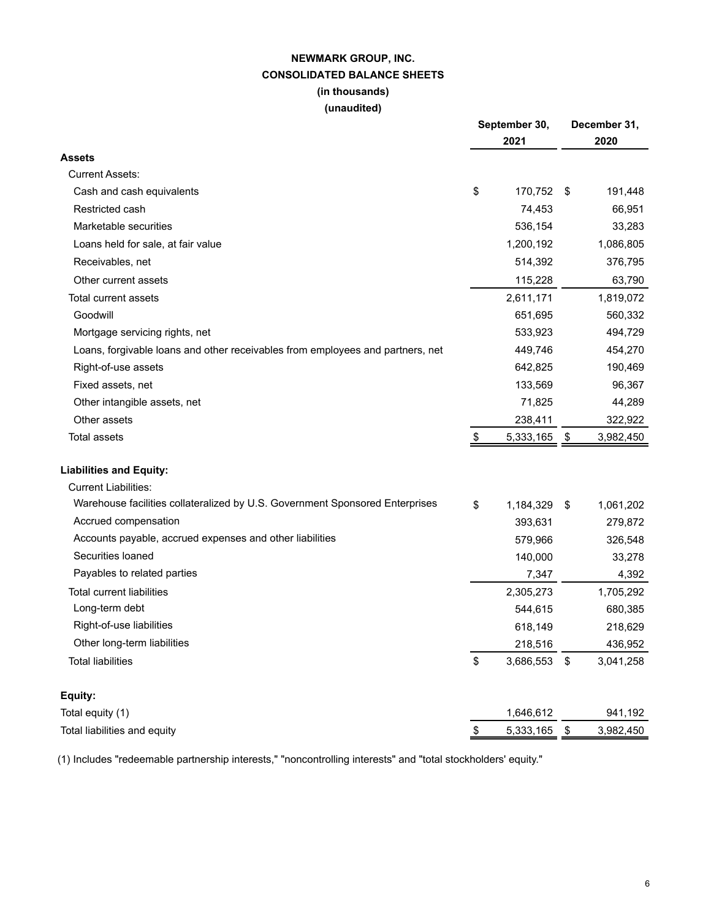## **NEWMARK GROUP, INC. CONSOLIDATED BALANCE SHEETS (in thousands) (unaudited)**

|                                                                                | September 30,   |                         | December 31, |  |
|--------------------------------------------------------------------------------|-----------------|-------------------------|--------------|--|
|                                                                                | 2021            |                         | 2020         |  |
| Assets                                                                         |                 |                         |              |  |
| <b>Current Assets:</b>                                                         |                 |                         |              |  |
| Cash and cash equivalents                                                      | \$<br>170,752   | \$                      | 191,448      |  |
| Restricted cash                                                                | 74,453          |                         | 66,951       |  |
| Marketable securities                                                          | 536,154         |                         | 33,283       |  |
| Loans held for sale, at fair value                                             | 1,200,192       |                         | 1,086,805    |  |
| Receivables, net                                                               | 514,392         |                         | 376,795      |  |
| Other current assets                                                           | 115,228         |                         | 63,790       |  |
| Total current assets                                                           | 2,611,171       |                         | 1,819,072    |  |
| Goodwill                                                                       | 651,695         |                         | 560,332      |  |
| Mortgage servicing rights, net                                                 | 533,923         |                         | 494,729      |  |
| Loans, forgivable loans and other receivables from employees and partners, net | 449,746         |                         | 454,270      |  |
| Right-of-use assets                                                            | 642,825         |                         | 190,469      |  |
| Fixed assets, net                                                              | 133,569         |                         | 96,367       |  |
| Other intangible assets, net                                                   | 71,825          |                         | 44,289       |  |
| Other assets                                                                   | 238,411         |                         | 322,922      |  |
| <b>Total assets</b>                                                            | \$<br>5,333,165 | \$                      | 3,982,450    |  |
| <b>Liabilities and Equity:</b>                                                 |                 |                         |              |  |
| <b>Current Liabilities:</b>                                                    |                 |                         |              |  |
| Warehouse facilities collateralized by U.S. Government Sponsored Enterprises   | \$<br>1,184,329 | \$                      | 1,061,202    |  |
| Accrued compensation                                                           | 393,631         |                         | 279,872      |  |
| Accounts payable, accrued expenses and other liabilities                       | 579,966         |                         | 326,548      |  |
| Securities loaned                                                              | 140,000         |                         | 33,278       |  |
| Payables to related parties                                                    | 7,347           |                         | 4,392        |  |
| <b>Total current liabilities</b>                                               | 2,305,273       |                         | 1,705,292    |  |
| Long-term debt                                                                 | 544,615         |                         | 680,385      |  |
| Right-of-use liabilities                                                       | 618,149         |                         | 218,629      |  |
| Other long-term liabilities                                                    | 218,516         |                         | 436,952      |  |
| <b>Total liabilities</b>                                                       | \$<br>3,686,553 | $\sqrt[6]{\frac{1}{2}}$ | 3,041,258    |  |
| Equity:                                                                        |                 |                         |              |  |
| Total equity (1)                                                               | 1,646,612       |                         | 941,192      |  |
| Total liabilities and equity                                                   | \$<br>5,333,165 | \$                      | 3,982,450    |  |

(1) Includes "redeemable partnership interests," "noncontrolling interests" and "total stockholders' equity."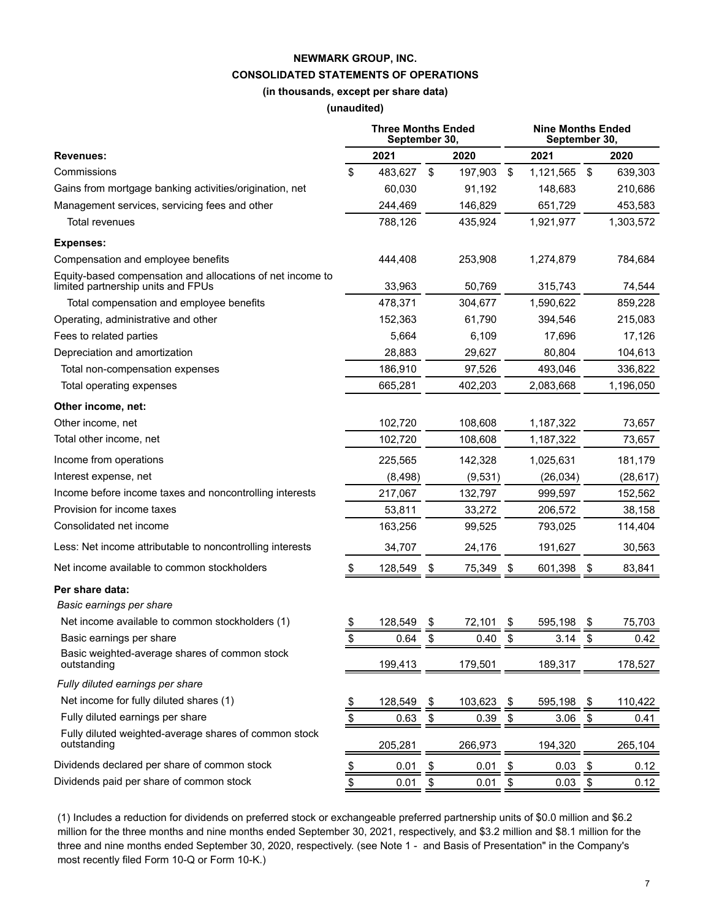## **NEWMARK GROUP, INC. CONSOLIDATED STATEMENTS OF OPERATIONS**

## **(in thousands, except per share data)**

**(unaudited)**

|                                                                                                  |               | <b>Three Months Ended</b><br>September 30, |           |         |           |           | <b>Nine Months Ended</b><br>September 30, |           |  |
|--------------------------------------------------------------------------------------------------|---------------|--------------------------------------------|-----------|---------|-----------|-----------|-------------------------------------------|-----------|--|
| <b>Revenues:</b>                                                                                 |               | 2021                                       |           | 2020    |           | 2021      |                                           | 2020      |  |
| Commissions                                                                                      | \$            | 483,627                                    | \$        | 197,903 | \$        | 1,121,565 | \$                                        | 639,303   |  |
| Gains from mortgage banking activities/origination, net                                          |               | 60,030                                     |           | 91,192  |           | 148,683   |                                           | 210,686   |  |
| Management services, servicing fees and other                                                    |               | 244,469                                    |           | 146,829 |           | 651,729   |                                           | 453,583   |  |
| Total revenues                                                                                   |               | 788,126                                    |           | 435,924 |           | 1,921,977 |                                           | 1,303,572 |  |
| <b>Expenses:</b>                                                                                 |               |                                            |           |         |           |           |                                           |           |  |
| Compensation and employee benefits                                                               |               | 444,408                                    |           | 253,908 |           | 1,274,879 |                                           | 784,684   |  |
| Equity-based compensation and allocations of net income to<br>limited partnership units and FPUs |               | 33,963                                     |           | 50,769  |           | 315,743   |                                           | 74,544    |  |
| Total compensation and employee benefits                                                         |               | 478,371                                    |           | 304,677 |           | 1,590,622 |                                           | 859,228   |  |
| Operating, administrative and other                                                              |               | 152,363                                    |           | 61,790  |           | 394,546   |                                           | 215,083   |  |
| Fees to related parties                                                                          |               | 5,664                                      |           | 6,109   |           | 17,696    |                                           | 17,126    |  |
| Depreciation and amortization                                                                    |               | 28,883                                     |           | 29,627  |           | 80,804    |                                           | 104,613   |  |
| Total non-compensation expenses                                                                  |               | 186,910                                    |           | 97,526  |           | 493,046   |                                           | 336,822   |  |
| Total operating expenses                                                                         |               | 665,281                                    |           | 402,203 |           | 2,083,668 |                                           | 1,196,050 |  |
| Other income, net:                                                                               |               |                                            |           |         |           |           |                                           |           |  |
| Other income, net                                                                                |               | 102,720                                    |           | 108,608 |           | 1,187,322 |                                           | 73,657    |  |
| Total other income, net                                                                          |               | 102,720                                    |           | 108,608 |           | 1,187,322 |                                           | 73,657    |  |
| Income from operations                                                                           |               | 225,565                                    |           | 142,328 |           | 1,025,631 |                                           | 181,179   |  |
| Interest expense, net                                                                            |               | (8, 498)                                   |           | (9,531) |           | (26, 034) |                                           | (28, 617) |  |
| Income before income taxes and noncontrolling interests                                          |               | 217,067                                    |           | 132,797 |           | 999,597   |                                           | 152,562   |  |
| Provision for income taxes                                                                       |               | 53,811                                     |           | 33,272  |           | 206,572   |                                           | 38,158    |  |
| Consolidated net income                                                                          |               | 163,256                                    |           | 99,525  |           | 793,025   |                                           | 114,404   |  |
| Less: Net income attributable to noncontrolling interests                                        |               | 34,707                                     |           | 24,176  |           | 191,627   |                                           | 30,563    |  |
| Net income available to common stockholders                                                      | \$            | 128,549                                    | \$        | 75,349  | \$        | 601,398   | \$                                        | 83,841    |  |
| Per share data:                                                                                  |               |                                            |           |         |           |           |                                           |           |  |
| Basic earnings per share                                                                         |               |                                            |           |         |           |           |                                           |           |  |
| Net income available to common stockholders (1)                                                  | \$            | 128,549                                    | \$        | 72,101  | \$        | 595,198   | \$                                        | 75,703    |  |
| Basic earnings per share                                                                         | ፍ             | 0.64                                       | ፍ         | 0.40    | ፍ         | 3.14      | ፍ                                         | 0.42      |  |
| Basic weighted-average shares of common stock<br>outstanding                                     |               | 199,413                                    |           | 179,501 |           | 189,317   |                                           | 178,527   |  |
| Fully diluted earnings per share                                                                 |               |                                            |           |         |           |           |                                           |           |  |
| Net income for fully diluted shares (1)                                                          | $\frac{3}{2}$ | 128,549                                    | \$        | 103,623 | -\$       | 595,198   | \$                                        | 110,422   |  |
| Fully diluted earnings per share                                                                 | \$            | 0.63                                       | \$        | 0.39    | - \$      | 3.06      | - \$                                      | 0.41      |  |
| Fully diluted weighted-average shares of common stock<br>outstanding                             |               | 205,281                                    |           | 266,973 |           | 194,320   |                                           | 265,104   |  |
| Dividends declared per share of common stock                                                     | $\frac{3}{2}$ | 0.01                                       | <u>\$</u> | 0.01    | <u>୍ଚ</u> | 0.03      | <u>_\$</u>                                | 0.12      |  |
| Dividends paid per share of common stock                                                         | \$            | 0.01                                       | \$        | 0.01    | \$        | 0.03      | \$                                        | 0.12      |  |

(1) Includes a reduction for dividends on preferred stock or exchangeable preferred partnership units of \$0.0 million and \$6.2 million for the three months and nine months ended September 30, 2021, respectively, and \$3.2 million and \$8.1 million for the three and nine months ended September 30, 2020, respectively. (see Note 1 - and Basis of Presentation" in the Company's most recently filed Form 10-Q or Form 10-K.)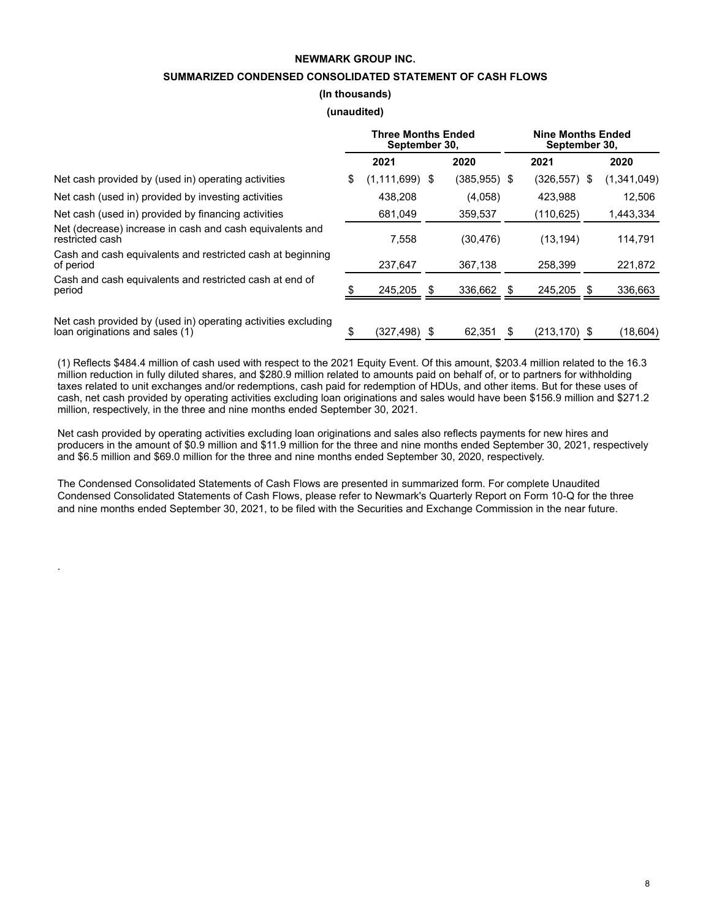#### **NEWMARK GROUP INC.**

#### **SUMMARIZED CONDENSED CONSOLIDATED STATEMENT OF CASH FLOWS**

#### **(In thousands)**

#### **(unaudited)**

|                                                                                                  | <b>Three Months Ended</b><br>September 30, |                    |    | <b>Nine Months Ended</b><br>September 30, |   |                 |    |             |
|--------------------------------------------------------------------------------------------------|--------------------------------------------|--------------------|----|-------------------------------------------|---|-----------------|----|-------------|
|                                                                                                  |                                            | 2021               |    | 2020                                      |   | 2021            |    | 2020        |
| Net cash provided by (used in) operating activities                                              | \$                                         | $(1, 111, 699)$ \$ |    | $(385, 955)$ \$                           |   | (326, 557)      | \$ | (1,341,049) |
| Net cash (used in) provided by investing activities                                              |                                            | 438,208            |    | (4,058)                                   |   | 423,988         |    | 12,506      |
| Net cash (used in) provided by financing activities                                              |                                            | 681,049            |    | 359,537                                   |   | (110, 625)      |    | 1,443,334   |
| Net (decrease) increase in cash and cash equivalents and<br>restricted cash                      |                                            | 7,558              |    | (30, 476)                                 |   | (13, 194)       |    | 114,791     |
| Cash and cash equivalents and restricted cash at beginning<br>of period                          |                                            | 237,647            |    | 367,138                                   |   | 258,399         |    | 221,872     |
| Cash and cash equivalents and restricted cash at end of<br>period                                |                                            | 245,205            | S. | 336,662                                   | S | 245,205         | S  | 336,663     |
| Net cash provided by (used in) operating activities excluding<br>loan originations and sales (1) | \$                                         | $(327, 498)$ \$    |    | 62.351                                    | S | $(213, 170)$ \$ |    | (18.604)    |

(1) Reflects \$484.4 million of cash used with respect to the 2021 Equity Event. Of this amount, \$203.4 million related to the 16.3 million reduction in fully diluted shares, and \$280.9 million related to amounts paid on behalf of, or to partners for withholding taxes related to unit exchanges and/or redemptions, cash paid for redemption of HDUs, and other items. But for these uses of cash, net cash provided by operating activities excluding loan originations and sales would have been \$156.9 million and \$271.2 million, respectively, in the three and nine months ended September 30, 2021.

Net cash provided by operating activities excluding loan originations and sales also reflects payments for new hires and producers in the amount of \$0.9 million and \$11.9 million for the three and nine months ended September 30, 2021, respectively and \$6.5 million and \$69.0 million for the three and nine months ended September 30, 2020, respectively.

The Condensed Consolidated Statements of Cash Flows are presented in summarized form. For complete Unaudited Condensed Consolidated Statements of Cash Flows, please refer to Newmark's Quarterly Report on Form 10-Q for the three and nine months ended September 30, 2021, to be filed with the Securities and Exchange Commission in the near future.

.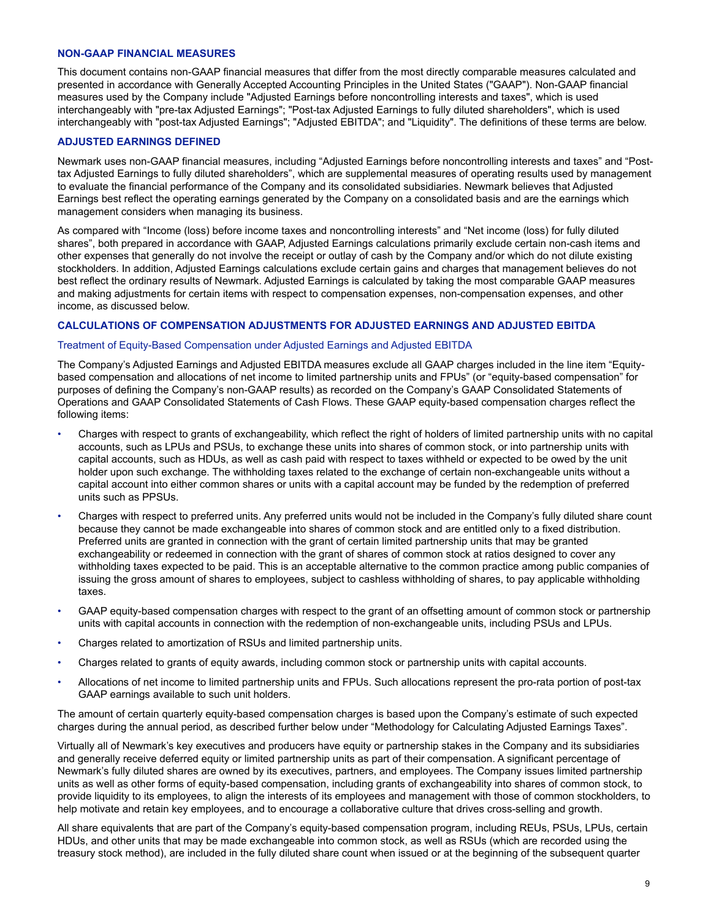#### **NON-GAAP FINANCIAL MEASURES**

This document contains non-GAAP financial measures that differ from the most directly comparable measures calculated and presented in accordance with Generally Accepted Accounting Principles in the United States ("GAAP"). Non-GAAP financial measures used by the Company include "Adjusted Earnings before noncontrolling interests and taxes", which is used interchangeably with "pre-tax Adjusted Earnings"; "Post-tax Adjusted Earnings to fully diluted shareholders", which is used interchangeably with "post-tax Adjusted Earnings"; "Adjusted EBITDA"; and "Liquidity". The definitions of these terms are below.

#### **ADJUSTED EARNINGS DEFINED**

Newmark uses non-GAAP financial measures, including "Adjusted Earnings before noncontrolling interests and taxes" and "Posttax Adjusted Earnings to fully diluted shareholders", which are supplemental measures of operating results used by management to evaluate the financial performance of the Company and its consolidated subsidiaries. Newmark believes that Adjusted Earnings best reflect the operating earnings generated by the Company on a consolidated basis and are the earnings which management considers when managing its business.

As compared with "Income (loss) before income taxes and noncontrolling interests" and "Net income (loss) for fully diluted shares", both prepared in accordance with GAAP, Adjusted Earnings calculations primarily exclude certain non-cash items and other expenses that generally do not involve the receipt or outlay of cash by the Company and/or which do not dilute existing stockholders. In addition, Adjusted Earnings calculations exclude certain gains and charges that management believes do not best reflect the ordinary results of Newmark. Adjusted Earnings is calculated by taking the most comparable GAAP measures and making adjustments for certain items with respect to compensation expenses, non-compensation expenses, and other income, as discussed below.

#### **CALCULATIONS OF COMPENSATION ADJUSTMENTS FOR ADJUSTED EARNINGS AND ADJUSTED EBITDA**

#### Treatment of Equity-Based Compensation under Adjusted Earnings and Adjusted EBITDA

The Company's Adjusted Earnings and Adjusted EBITDA measures exclude all GAAP charges included in the line item "Equitybased compensation and allocations of net income to limited partnership units and FPUs" (or "equity-based compensation" for purposes of defining the Company's non-GAAP results) as recorded on the Company's GAAP Consolidated Statements of Operations and GAAP Consolidated Statements of Cash Flows. These GAAP equity-based compensation charges reflect the following items:

- Charges with respect to grants of exchangeability, which reflect the right of holders of limited partnership units with no capital accounts, such as LPUs and PSUs, to exchange these units into shares of common stock, or into partnership units with capital accounts, such as HDUs, as well as cash paid with respect to taxes withheld or expected to be owed by the unit holder upon such exchange. The withholding taxes related to the exchange of certain non-exchangeable units without a capital account into either common shares or units with a capital account may be funded by the redemption of preferred units such as PPSUs.
- Charges with respect to preferred units. Any preferred units would not be included in the Company's fully diluted share count because they cannot be made exchangeable into shares of common stock and are entitled only to a fixed distribution. Preferred units are granted in connection with the grant of certain limited partnership units that may be granted exchangeability or redeemed in connection with the grant of shares of common stock at ratios designed to cover any withholding taxes expected to be paid. This is an acceptable alternative to the common practice among public companies of issuing the gross amount of shares to employees, subject to cashless withholding of shares, to pay applicable withholding taxes.
- GAAP equity-based compensation charges with respect to the grant of an offsetting amount of common stock or partnership units with capital accounts in connection with the redemption of non-exchangeable units, including PSUs and LPUs.
- Charges related to amortization of RSUs and limited partnership units.
- Charges related to grants of equity awards, including common stock or partnership units with capital accounts.
- Allocations of net income to limited partnership units and FPUs. Such allocations represent the pro-rata portion of post-tax GAAP earnings available to such unit holders.

The amount of certain quarterly equity-based compensation charges is based upon the Company's estimate of such expected charges during the annual period, as described further below under "Methodology for Calculating Adjusted Earnings Taxes".

Virtually all of Newmark's key executives and producers have equity or partnership stakes in the Company and its subsidiaries and generally receive deferred equity or limited partnership units as part of their compensation. A significant percentage of Newmark's fully diluted shares are owned by its executives, partners, and employees. The Company issues limited partnership units as well as other forms of equity-based compensation, including grants of exchangeability into shares of common stock, to provide liquidity to its employees, to align the interests of its employees and management with those of common stockholders, to help motivate and retain key employees, and to encourage a collaborative culture that drives cross-selling and growth.

All share equivalents that are part of the Company's equity-based compensation program, including REUs, PSUs, LPUs, certain HDUs, and other units that may be made exchangeable into common stock, as well as RSUs (which are recorded using the treasury stock method), are included in the fully diluted share count when issued or at the beginning of the subsequent quarter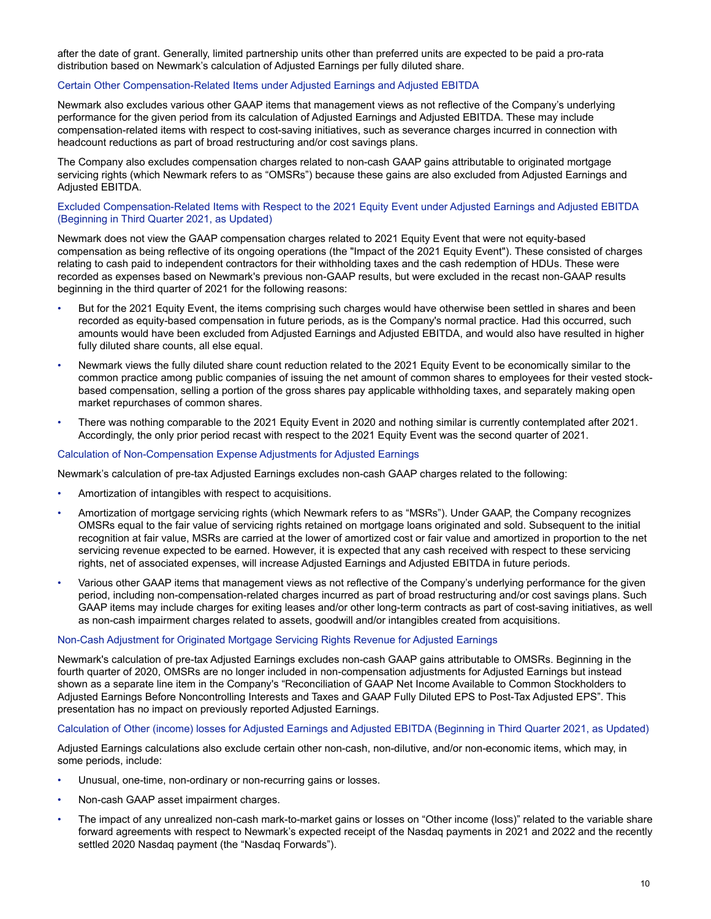after the date of grant. Generally, limited partnership units other than preferred units are expected to be paid a pro-rata distribution based on Newmark's calculation of Adjusted Earnings per fully diluted share.

#### Certain Other Compensation-Related Items under Adjusted Earnings and Adjusted EBITDA

Newmark also excludes various other GAAP items that management views as not reflective of the Company's underlying performance for the given period from its calculation of Adjusted Earnings and Adjusted EBITDA. These may include compensation-related items with respect to cost-saving initiatives, such as severance charges incurred in connection with headcount reductions as part of broad restructuring and/or cost savings plans.

The Company also excludes compensation charges related to non-cash GAAP gains attributable to originated mortgage servicing rights (which Newmark refers to as "OMSRs") because these gains are also excluded from Adjusted Earnings and Adjusted EBITDA.

#### Excluded Compensation-Related Items with Respect to the 2021 Equity Event under Adjusted Earnings and Adjusted EBITDA (Beginning in Third Quarter 2021, as Updated)

Newmark does not view the GAAP compensation charges related to 2021 Equity Event that were not equity-based compensation as being reflective of its ongoing operations (the "Impact of the 2021 Equity Event"). These consisted of charges relating to cash paid to independent contractors for their withholding taxes and the cash redemption of HDUs. These were recorded as expenses based on Newmark's previous non-GAAP results, but were excluded in the recast non-GAAP results beginning in the third quarter of 2021 for the following reasons:

- But for the 2021 Equity Event, the items comprising such charges would have otherwise been settled in shares and been recorded as equity-based compensation in future periods, as is the Company's normal practice. Had this occurred, such amounts would have been excluded from Adjusted Earnings and Adjusted EBITDA, and would also have resulted in higher fully diluted share counts, all else equal.
- Newmark views the fully diluted share count reduction related to the 2021 Equity Event to be economically similar to the common practice among public companies of issuing the net amount of common shares to employees for their vested stockbased compensation, selling a portion of the gross shares pay applicable withholding taxes, and separately making open market repurchases of common shares.
- There was nothing comparable to the 2021 Equity Event in 2020 and nothing similar is currently contemplated after 2021. Accordingly, the only prior period recast with respect to the 2021 Equity Event was the second quarter of 2021.

#### Calculation of Non-Compensation Expense Adjustments for Adjusted Earnings

Newmark's calculation of pre-tax Adjusted Earnings excludes non-cash GAAP charges related to the following:

- Amortization of intangibles with respect to acquisitions.
- Amortization of mortgage servicing rights (which Newmark refers to as "MSRs"). Under GAAP, the Company recognizes OMSRs equal to the fair value of servicing rights retained on mortgage loans originated and sold. Subsequent to the initial recognition at fair value, MSRs are carried at the lower of amortized cost or fair value and amortized in proportion to the net servicing revenue expected to be earned. However, it is expected that any cash received with respect to these servicing rights, net of associated expenses, will increase Adjusted Earnings and Adjusted EBITDA in future periods.
- Various other GAAP items that management views as not reflective of the Company's underlying performance for the given period, including non-compensation-related charges incurred as part of broad restructuring and/or cost savings plans. Such GAAP items may include charges for exiting leases and/or other long-term contracts as part of cost-saving initiatives, as well as non-cash impairment charges related to assets, goodwill and/or intangibles created from acquisitions.

#### Non-Cash Adjustment for Originated Mortgage Servicing Rights Revenue for Adjusted Earnings

Newmark's calculation of pre-tax Adjusted Earnings excludes non-cash GAAP gains attributable to OMSRs. Beginning in the fourth quarter of 2020, OMSRs are no longer included in non-compensation adjustments for Adjusted Earnings but instead shown as a separate line item in the Company's "Reconciliation of GAAP Net Income Available to Common Stockholders to Adjusted Earnings Before Noncontrolling Interests and Taxes and GAAP Fully Diluted EPS to Post-Tax Adjusted EPS". This presentation has no impact on previously reported Adjusted Earnings.

#### Calculation of Other (income) losses for Adjusted Earnings and Adjusted EBITDA (Beginning in Third Quarter 2021, as Updated)

Adjusted Earnings calculations also exclude certain other non-cash, non-dilutive, and/or non-economic items, which may, in some periods, include:

- Unusual, one-time, non-ordinary or non-recurring gains or losses.
- Non-cash GAAP asset impairment charges.
- The impact of any unrealized non-cash mark-to-market gains or losses on "Other income (loss)" related to the variable share forward agreements with respect to Newmark's expected receipt of the Nasdaq payments in 2021 and 2022 and the recently settled 2020 Nasdaq payment (the "Nasdaq Forwards").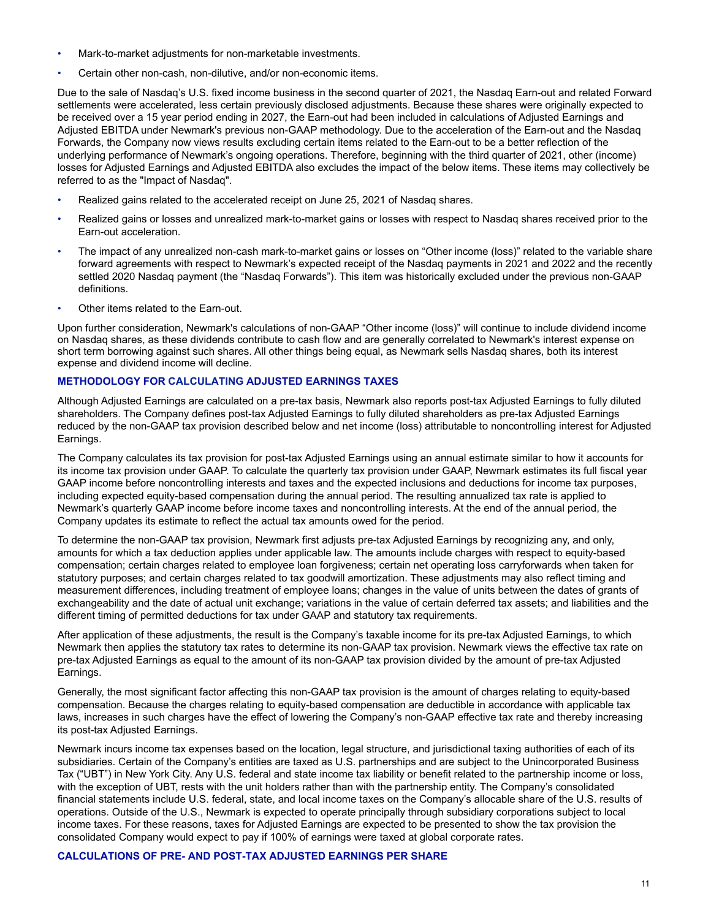- Mark-to-market adjustments for non-marketable investments.
- Certain other non-cash, non-dilutive, and/or non-economic items.

Due to the sale of Nasdaq's U.S. fixed income business in the second quarter of 2021, the Nasdaq Earn-out and related Forward settlements were accelerated, less certain previously disclosed adjustments. Because these shares were originally expected to be received over a 15 year period ending in 2027, the Earn-out had been included in calculations of Adjusted Earnings and Adjusted EBITDA under Newmark's previous non-GAAP methodology. Due to the acceleration of the Earn-out and the Nasdaq Forwards, the Company now views results excluding certain items related to the Earn-out to be a better reflection of the underlying performance of Newmark's ongoing operations. Therefore, beginning with the third quarter of 2021, other (income) losses for Adjusted Earnings and Adjusted EBITDA also excludes the impact of the below items. These items may collectively be referred to as the "Impact of Nasdaq".

- Realized gains related to the accelerated receipt on June 25, 2021 of Nasdaq shares.
- Realized gains or losses and unrealized mark-to-market gains or losses with respect to Nasdaq shares received prior to the Earn-out acceleration.
- The impact of any unrealized non-cash mark-to-market gains or losses on "Other income (loss)" related to the variable share forward agreements with respect to Newmark's expected receipt of the Nasdaq payments in 2021 and 2022 and the recently settled 2020 Nasdaq payment (the "Nasdaq Forwards"). This item was historically excluded under the previous non-GAAP definitions.
- Other items related to the Earn-out.

Upon further consideration, Newmark's calculations of non-GAAP "Other income (loss)" will continue to include dividend income on Nasdaq shares, as these dividends contribute to cash flow and are generally correlated to Newmark's interest expense on short term borrowing against such shares. All other things being equal, as Newmark sells Nasdaq shares, both its interest expense and dividend income will decline.

#### **METHODOLOGY FOR CALCULATING ADJUSTED EARNINGS TAXES**

Although Adjusted Earnings are calculated on a pre-tax basis, Newmark also reports post-tax Adjusted Earnings to fully diluted shareholders. The Company defines post-tax Adjusted Earnings to fully diluted shareholders as pre-tax Adjusted Earnings reduced by the non-GAAP tax provision described below and net income (loss) attributable to noncontrolling interest for Adjusted Earnings.

The Company calculates its tax provision for post-tax Adjusted Earnings using an annual estimate similar to how it accounts for its income tax provision under GAAP. To calculate the quarterly tax provision under GAAP, Newmark estimates its full fiscal year GAAP income before noncontrolling interests and taxes and the expected inclusions and deductions for income tax purposes, including expected equity-based compensation during the annual period. The resulting annualized tax rate is applied to Newmark's quarterly GAAP income before income taxes and noncontrolling interests. At the end of the annual period, the Company updates its estimate to reflect the actual tax amounts owed for the period.

To determine the non-GAAP tax provision, Newmark first adjusts pre-tax Adjusted Earnings by recognizing any, and only, amounts for which a tax deduction applies under applicable law. The amounts include charges with respect to equity-based compensation; certain charges related to employee loan forgiveness; certain net operating loss carryforwards when taken for statutory purposes; and certain charges related to tax goodwill amortization. These adjustments may also reflect timing and measurement differences, including treatment of employee loans; changes in the value of units between the dates of grants of exchangeability and the date of actual unit exchange; variations in the value of certain deferred tax assets; and liabilities and the different timing of permitted deductions for tax under GAAP and statutory tax requirements.

After application of these adjustments, the result is the Company's taxable income for its pre-tax Adjusted Earnings, to which Newmark then applies the statutory tax rates to determine its non-GAAP tax provision. Newmark views the effective tax rate on pre-tax Adjusted Earnings as equal to the amount of its non-GAAP tax provision divided by the amount of pre-tax Adjusted Earnings.

Generally, the most significant factor affecting this non-GAAP tax provision is the amount of charges relating to equity-based compensation. Because the charges relating to equity-based compensation are deductible in accordance with applicable tax laws, increases in such charges have the effect of lowering the Company's non-GAAP effective tax rate and thereby increasing its post-tax Adjusted Earnings.

Newmark incurs income tax expenses based on the location, legal structure, and jurisdictional taxing authorities of each of its subsidiaries. Certain of the Company's entities are taxed as U.S. partnerships and are subject to the Unincorporated Business Tax ("UBT") in New York City. Any U.S. federal and state income tax liability or benefit related to the partnership income or loss, with the exception of UBT, rests with the unit holders rather than with the partnership entity. The Company's consolidated financial statements include U.S. federal, state, and local income taxes on the Company's allocable share of the U.S. results of operations. Outside of the U.S., Newmark is expected to operate principally through subsidiary corporations subject to local income taxes. For these reasons, taxes for Adjusted Earnings are expected to be presented to show the tax provision the consolidated Company would expect to pay if 100% of earnings were taxed at global corporate rates.

**CALCULATIONS OF PRE- AND POST-TAX ADJUSTED EARNINGS PER SHARE**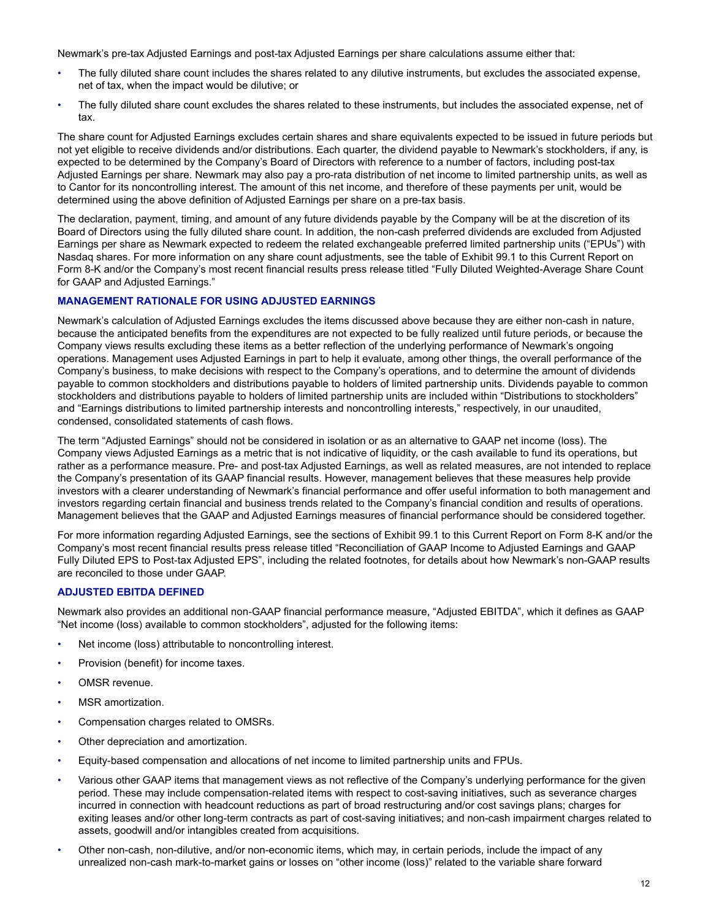Newmark's pre-tax Adjusted Earnings and post-tax Adjusted Earnings per share calculations assume either that:

- The fully diluted share count includes the shares related to any dilutive instruments, but excludes the associated expense, net of tax, when the impact would be dilutive; or
- The fully diluted share count excludes the shares related to these instruments, but includes the associated expense, net of tax.

The share count for Adjusted Earnings excludes certain shares and share equivalents expected to be issued in future periods but not yet eligible to receive dividends and/or distributions. Each quarter, the dividend payable to Newmark's stockholders, if any, is expected to be determined by the Company's Board of Directors with reference to a number of factors, including post-tax Adjusted Earnings per share. Newmark may also pay a pro-rata distribution of net income to limited partnership units, as well as to Cantor for its noncontrolling interest. The amount of this net income, and therefore of these payments per unit, would be determined using the above definition of Adjusted Earnings per share on a pre-tax basis.

The declaration, payment, timing, and amount of any future dividends payable by the Company will be at the discretion of its Board of Directors using the fully diluted share count. In addition, the non-cash preferred dividends are excluded from Adjusted Earnings per share as Newmark expected to redeem the related exchangeable preferred limited partnership units ("EPUs") with Nasdaq shares. For more information on any share count adjustments, see the table of Exhibit 99.1 to this Current Report on Form 8-K and/or the Company's most recent financial results press release titled "Fully Diluted Weighted-Average Share Count for GAAP and Adjusted Earnings."

#### **MANAGEMENT RATIONALE FOR USING ADJUSTED EARNINGS**

Newmark's calculation of Adjusted Earnings excludes the items discussed above because they are either non-cash in nature, because the anticipated benefits from the expenditures are not expected to be fully realized until future periods, or because the Company views results excluding these items as a better reflection of the underlying performance of Newmark's ongoing operations. Management uses Adjusted Earnings in part to help it evaluate, among other things, the overall performance of the Company's business, to make decisions with respect to the Company's operations, and to determine the amount of dividends payable to common stockholders and distributions payable to holders of limited partnership units. Dividends payable to common stockholders and distributions payable to holders of limited partnership units are included within "Distributions to stockholders" and "Earnings distributions to limited partnership interests and noncontrolling interests," respectively, in our unaudited, condensed, consolidated statements of cash flows.

The term "Adjusted Earnings" should not be considered in isolation or as an alternative to GAAP net income (loss). The Company views Adjusted Earnings as a metric that is not indicative of liquidity, or the cash available to fund its operations, but rather as a performance measure. Pre- and post-tax Adjusted Earnings, as well as related measures, are not intended to replace the Company's presentation of its GAAP financial results. However, management believes that these measures help provide investors with a clearer understanding of Newmark's financial performance and offer useful information to both management and investors regarding certain financial and business trends related to the Company's financial condition and results of operations. Management believes that the GAAP and Adjusted Earnings measures of financial performance should be considered together.

For more information regarding Adjusted Earnings, see the sections of Exhibit 99.1 to this Current Report on Form 8-K and/or the Company's most recent financial results press release titled "Reconciliation of GAAP Income to Adjusted Earnings and GAAP Fully Diluted EPS to Post-tax Adjusted EPS", including the related footnotes, for details about how Newmark's non-GAAP results are reconciled to those under GAAP.

#### **ADJUSTED EBITDA DEFINED**

Newmark also provides an additional non-GAAP financial performance measure, "Adjusted EBITDA", which it defines as GAAP "Net income (loss) available to common stockholders", adjusted for the following items:

- Net income (loss) attributable to noncontrolling interest.
- Provision (benefit) for income taxes.
- OMSR revenue.
- MSR amortization.
- Compensation charges related to OMSRs.
- Other depreciation and amortization.
- Equity-based compensation and allocations of net income to limited partnership units and FPUs.
- Various other GAAP items that management views as not reflective of the Company's underlying performance for the given period. These may include compensation-related items with respect to cost-saving initiatives, such as severance charges incurred in connection with headcount reductions as part of broad restructuring and/or cost savings plans; charges for exiting leases and/or other long-term contracts as part of cost-saving initiatives; and non-cash impairment charges related to assets, goodwill and/or intangibles created from acquisitions.
- Other non-cash, non-dilutive, and/or non-economic items, which may, in certain periods, include the impact of any unrealized non-cash mark-to-market gains or losses on "other income (loss)" related to the variable share forward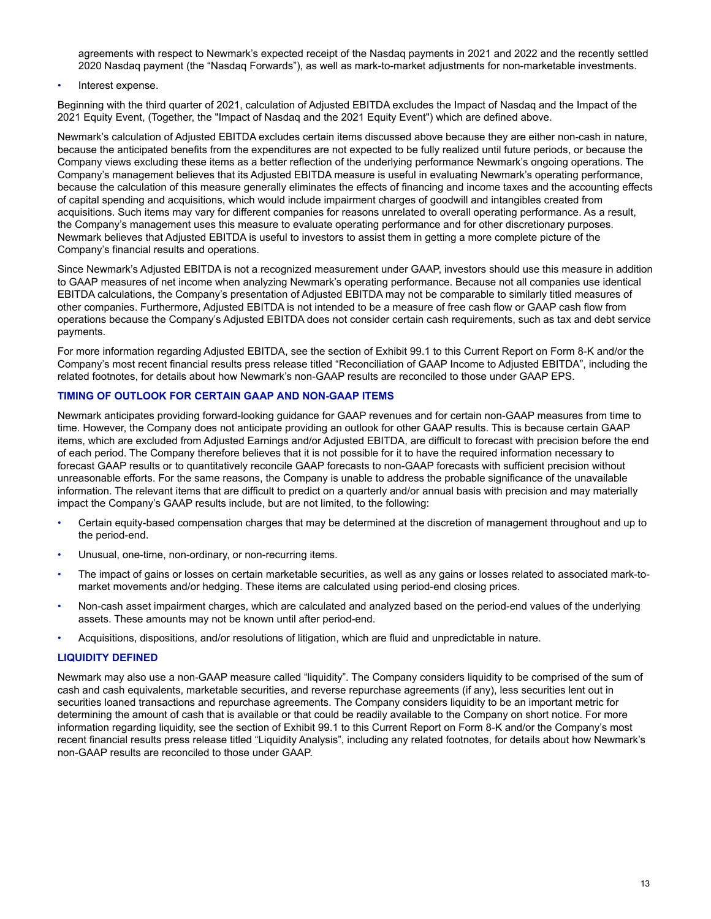agreements with respect to Newmark's expected receipt of the Nasdaq payments in 2021 and 2022 and the recently settled 2020 Nasdaq payment (the "Nasdaq Forwards"), as well as mark-to-market adjustments for non-marketable investments.

Interest expense.

Beginning with the third quarter of 2021, calculation of Adjusted EBITDA excludes the Impact of Nasdaq and the Impact of the 2021 Equity Event, (Together, the "Impact of Nasdaq and the 2021 Equity Event") which are defined above.

Newmark's calculation of Adjusted EBITDA excludes certain items discussed above because they are either non-cash in nature, because the anticipated benefits from the expenditures are not expected to be fully realized until future periods, or because the Company views excluding these items as a better reflection of the underlying performance Newmark's ongoing operations. The Company's management believes that its Adjusted EBITDA measure is useful in evaluating Newmark's operating performance, because the calculation of this measure generally eliminates the effects of financing and income taxes and the accounting effects of capital spending and acquisitions, which would include impairment charges of goodwill and intangibles created from acquisitions. Such items may vary for different companies for reasons unrelated to overall operating performance. As a result, the Company's management uses this measure to evaluate operating performance and for other discretionary purposes. Newmark believes that Adjusted EBITDA is useful to investors to assist them in getting a more complete picture of the Company's financial results and operations.

Since Newmark's Adjusted EBITDA is not a recognized measurement under GAAP, investors should use this measure in addition to GAAP measures of net income when analyzing Newmark's operating performance. Because not all companies use identical EBITDA calculations, the Company's presentation of Adjusted EBITDA may not be comparable to similarly titled measures of other companies. Furthermore, Adjusted EBITDA is not intended to be a measure of free cash flow or GAAP cash flow from operations because the Company's Adjusted EBITDA does not consider certain cash requirements, such as tax and debt service payments.

For more information regarding Adjusted EBITDA, see the section of Exhibit 99.1 to this Current Report on Form 8-K and/or the Company's most recent financial results press release titled "Reconciliation of GAAP Income to Adjusted EBITDA", including the related footnotes, for details about how Newmark's non-GAAP results are reconciled to those under GAAP EPS.

#### **TIMING OF OUTLOOK FOR CERTAIN GAAP AND NON-GAAP ITEMS**

Newmark anticipates providing forward-looking guidance for GAAP revenues and for certain non-GAAP measures from time to time. However, the Company does not anticipate providing an outlook for other GAAP results. This is because certain GAAP items, which are excluded from Adjusted Earnings and/or Adjusted EBITDA, are difficult to forecast with precision before the end of each period. The Company therefore believes that it is not possible for it to have the required information necessary to forecast GAAP results or to quantitatively reconcile GAAP forecasts to non-GAAP forecasts with sufficient precision without unreasonable efforts. For the same reasons, the Company is unable to address the probable significance of the unavailable information. The relevant items that are difficult to predict on a quarterly and/or annual basis with precision and may materially impact the Company's GAAP results include, but are not limited, to the following:

- Certain equity-based compensation charges that may be determined at the discretion of management throughout and up to the period-end.
- Unusual, one-time, non-ordinary, or non-recurring items.
- The impact of gains or losses on certain marketable securities, as well as any gains or losses related to associated mark-tomarket movements and/or hedging. These items are calculated using period-end closing prices.
- Non-cash asset impairment charges, which are calculated and analyzed based on the period-end values of the underlying assets. These amounts may not be known until after period-end.
- Acquisitions, dispositions, and/or resolutions of litigation, which are fluid and unpredictable in nature.

#### **LIQUIDITY DEFINED**

Newmark may also use a non-GAAP measure called "liquidity". The Company considers liquidity to be comprised of the sum of cash and cash equivalents, marketable securities, and reverse repurchase agreements (if any), less securities lent out in securities loaned transactions and repurchase agreements. The Company considers liquidity to be an important metric for determining the amount of cash that is available or that could be readily available to the Company on short notice. For more information regarding liquidity, see the section of Exhibit 99.1 to this Current Report on Form 8-K and/or the Company's most recent financial results press release titled "Liquidity Analysis", including any related footnotes, for details about how Newmark's non-GAAP results are reconciled to those under GAAP.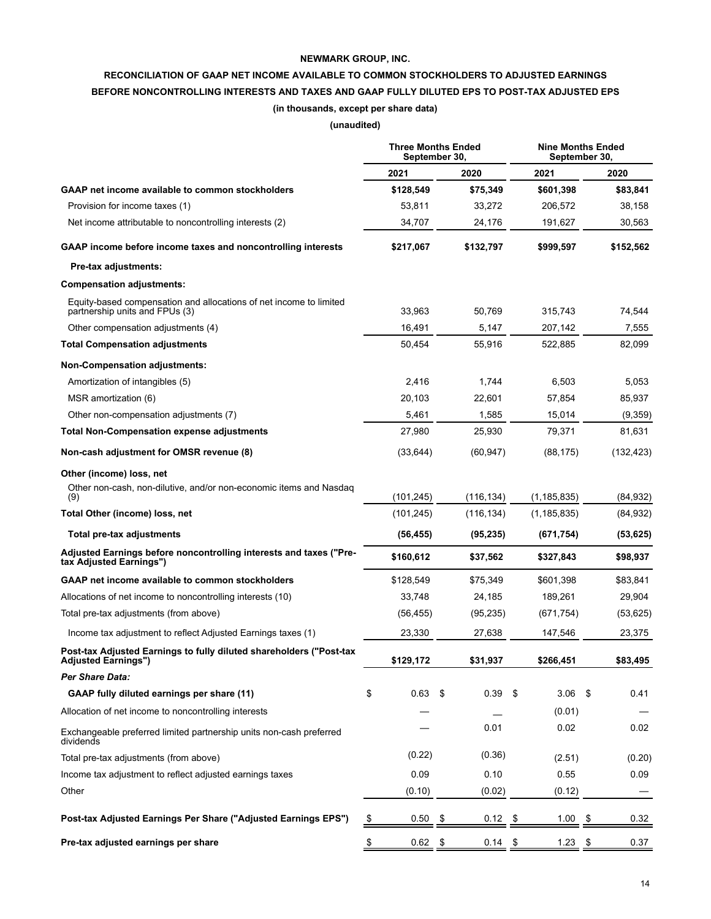#### **NEWMARK GROUP, INC.**

## **RECONCILIATION OF GAAP NET INCOME AVAILABLE TO COMMON STOCKHOLDERS TO ADJUSTED EARNINGS**

**BEFORE NONCONTROLLING INTERESTS AND TAXES AND GAAP FULLY DILUTED EPS TO POST-TAX ADJUSTED EPS**

#### **(in thousands, except per share data)**

**(unaudited)**

|                                                                                                       | <b>Three Months Ended</b><br>September 30, |            | <b>Nine Months Ended</b><br>September 30. |            |      |               |      |            |
|-------------------------------------------------------------------------------------------------------|--------------------------------------------|------------|-------------------------------------------|------------|------|---------------|------|------------|
|                                                                                                       |                                            | 2021       |                                           | 2020       |      | 2021          |      | 2020       |
| <b>GAAP</b> net income available to common stockholders                                               |                                            | \$128,549  |                                           | \$75,349   |      | \$601,398     |      | \$83,841   |
| Provision for income taxes (1)                                                                        |                                            | 53,811     |                                           | 33,272     |      | 206,572       |      | 38,158     |
| Net income attributable to noncontrolling interests (2)                                               |                                            | 34,707     |                                           | 24,176     |      | 191,627       |      | 30,563     |
| GAAP income before income taxes and noncontrolling interests                                          |                                            | \$217,067  |                                           | \$132,797  |      | \$999,597     |      | \$152,562  |
| Pre-tax adjustments:                                                                                  |                                            |            |                                           |            |      |               |      |            |
| <b>Compensation adjustments:</b>                                                                      |                                            |            |                                           |            |      |               |      |            |
| Equity-based compensation and allocations of net income to limited<br>partnership units and FPUs (3)  |                                            | 33,963     |                                           | 50,769     |      | 315,743       |      | 74,544     |
| Other compensation adjustments (4)                                                                    |                                            | 16,491     |                                           | 5,147      |      | 207,142       |      | 7,555      |
| <b>Total Compensation adjustments</b>                                                                 |                                            | 50,454     |                                           | 55,916     |      | 522,885       |      | 82,099     |
| <b>Non-Compensation adjustments:</b>                                                                  |                                            |            |                                           |            |      |               |      |            |
| Amortization of intangibles (5)                                                                       |                                            | 2,416      |                                           | 1,744      |      | 6,503         |      | 5,053      |
| MSR amortization (6)                                                                                  |                                            | 20,103     |                                           | 22,601     |      | 57,854        |      | 85,937     |
| Other non-compensation adjustments (7)                                                                |                                            | 5,461      |                                           | 1,585      |      | 15,014        |      | (9,359)    |
| <b>Total Non-Compensation expense adjustments</b>                                                     |                                            | 27,980     |                                           | 25,930     |      | 79,371        |      | 81,631     |
| Non-cash adjustment for OMSR revenue (8)                                                              |                                            | (33, 644)  |                                           | (60, 947)  |      | (88, 175)     |      | (132, 423) |
| Other (income) loss, net<br>Other non-cash, non-dilutive, and/or non-economic items and Nasdag<br>(9) |                                            | (101, 245) |                                           | (116, 134) |      | (1, 185, 835) |      | (84, 932)  |
| Total Other (income) loss, net                                                                        |                                            | (101, 245) |                                           | (116, 134) |      | (1, 185, 835) |      | (84, 932)  |
| Total pre-tax adjustments                                                                             |                                            | (56, 455)  |                                           | (95, 235)  |      | (671, 754)    |      | (53, 625)  |
| Adjusted Earnings before noncontrolling interests and taxes ("Pre-<br>tax Adjusted Earnings")         |                                            | \$160,612  |                                           | \$37,562   |      | \$327,843     |      | \$98,937   |
| GAAP net income available to common stockholders                                                      |                                            | \$128,549  |                                           | \$75,349   |      | \$601,398     |      | \$83,841   |
| Allocations of net income to noncontrolling interests (10)                                            |                                            | 33,748     |                                           | 24,185     |      | 189,261       |      | 29,904     |
| Total pre-tax adjustments (from above)                                                                |                                            | (56, 455)  |                                           | (95, 235)  |      | (671, 754)    |      | (53, 625)  |
| Income tax adjustment to reflect Adjusted Earnings taxes (1)                                          |                                            | 23,330     |                                           | 27,638     |      | 147,546       |      | 23,375     |
| Post-tax Adjusted Earnings to fully diluted shareholders ("Post-tax<br>Adjusted Earnings <sup>7</sup> |                                            | \$129,172  |                                           | \$31,937   |      | \$266,451     |      | \$83,495   |
| <b>Per Share Data:</b>                                                                                |                                            |            |                                           |            |      |               |      |            |
| GAAP fully diluted earnings per share (11)                                                            | \$                                         | 0.63       | \$                                        | 0.39       | \$   | 3.06          | \$   | 0.41       |
| Allocation of net income to noncontrolling interests                                                  |                                            |            |                                           |            |      | (0.01)        |      |            |
| Exchangeable preferred limited partnership units non-cash preferred<br>dividends                      |                                            |            |                                           | 0.01       |      | 0.02          |      | 0.02       |
| Total pre-tax adjustments (from above)                                                                |                                            | (0.22)     |                                           | (0.36)     |      | (2.51)        |      | (0.20)     |
| Income tax adjustment to reflect adjusted earnings taxes                                              |                                            | 0.09       |                                           | 0.10       |      | 0.55          |      | 0.09       |
| Other                                                                                                 |                                            | (0.10)     |                                           | (0.02)     |      | (0.12)        |      |            |
| Post-tax Adjusted Earnings Per Share ("Adjusted Earnings EPS")                                        | \$                                         | 0.50       | - \$                                      | 0.12       | - \$ | 1.00          | - \$ | 0.32       |
| Pre-tax adjusted earnings per share                                                                   | \$                                         | $0.62$ \$  |                                           | $0.14$ \$  |      | $1.23$ \$     |      | 0.37       |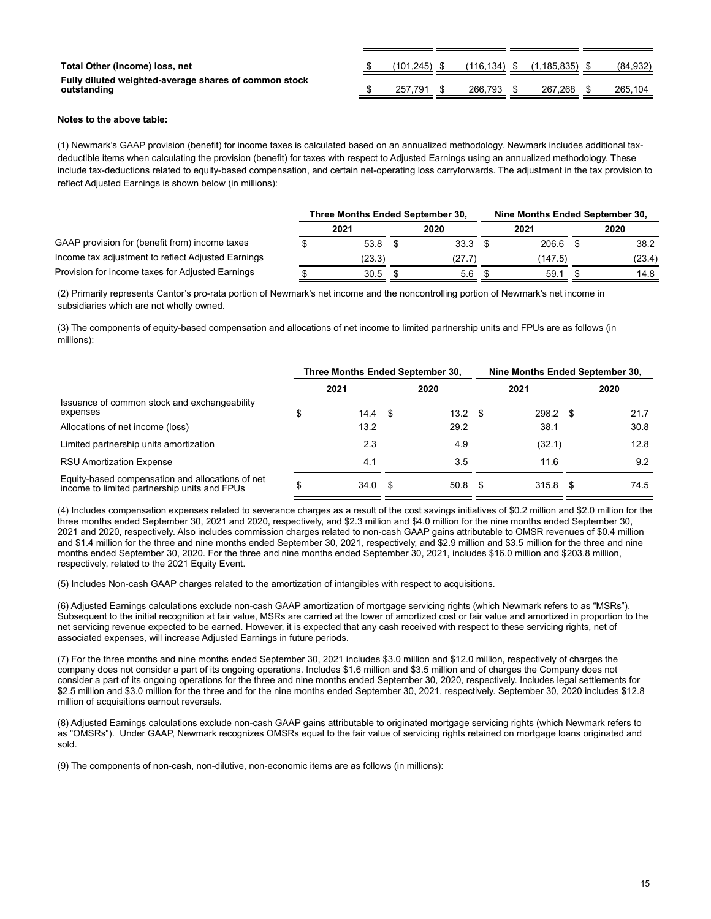## **Total Other (income) loss, net Fully diluted weighted-average shares of common stock**

| Total Other (income) loss, net                                       | (101.245) | $(116.134)$ \$ | $(1.185.835)$ \$ | (84, 932) |
|----------------------------------------------------------------------|-----------|----------------|------------------|-----------|
| Fully diluted weighted-average shares of common stock<br>outstanding | 257.791   | 266.793        | 267.268          | 265.104   |

#### **Notes to the above table:**

(1) Newmark's GAAP provision (benefit) for income taxes is calculated based on an annualized methodology. Newmark includes additional taxdeductible items when calculating the provision (benefit) for taxes with respect to Adjusted Earnings using an annualized methodology. These include tax-deductions related to equity-based compensation, and certain net-operating loss carryforwards. The adjustment in the tax provision to reflect Adjusted Earnings is shown below (in millions):

|                                                    | Three Months Ended September 30, |  | Nine Months Ended September 30, |  |         |  |        |
|----------------------------------------------------|----------------------------------|--|---------------------------------|--|---------|--|--------|
|                                                    | 2021                             |  | 2020                            |  | 2021    |  | 2020   |
| GAAP provision for (benefit from) income taxes     | 53.8                             |  | 33.3                            |  | 206.6   |  | 38.2   |
| Income tax adjustment to reflect Adjusted Earnings | (23.3)                           |  | (27.7)                          |  | (147.5) |  | (23.4) |
| Provision for income taxes for Adjusted Earnings   | 30.5                             |  | 5.6                             |  | 59.1    |  | 14.8   |

(2) Primarily represents Cantor's pro-rata portion of Newmark's net income and the noncontrolling portion of Newmark's net income in subsidiaries which are not wholly owned.

(3) The components of equity-based compensation and allocations of net income to limited partnership units and FPUs are as follows (in millions):

|                                                                                                  |                         | Three Months Ended September 30, |                 |      |        |      | Nine Months Ended September 30, |  |  |
|--------------------------------------------------------------------------------------------------|-------------------------|----------------------------------|-----------------|------|--------|------|---------------------------------|--|--|
|                                                                                                  | 2021                    | 2020                             |                 |      | 2021   |      | 2020                            |  |  |
| Issuance of common stock and exchangeability<br>expenses                                         | \$<br>14.4              | - \$                             | $13.2 \quad$ \$ |      | 298.2  | - \$ | 21.7                            |  |  |
| Allocations of net income (loss)                                                                 | 13.2                    |                                  | 29.2            |      | 38.1   |      | 30.8                            |  |  |
| Limited partnership units amortization                                                           | 2.3                     |                                  | 4.9             |      | (32.1) |      | 12.8                            |  |  |
| <b>RSU Amortization Expense</b>                                                                  | 4.1                     |                                  | 3.5             |      | 11.6   |      | 9.2                             |  |  |
| Equity-based compensation and allocations of net<br>income to limited partnership units and FPUs | \$<br>34.0 <sup>5</sup> |                                  | 50.8            | - \$ | 315.8  |      | 74.5                            |  |  |

(4) Includes compensation expenses related to severance charges as a result of the cost savings initiatives of \$0.2 million and \$2.0 million for the three months ended September 30, 2021 and 2020, respectively, and \$2.3 million and \$4.0 million for the nine months ended September 30, 2021 and 2020, respectively. Also includes commission charges related to non-cash GAAP gains attributable to OMSR revenues of \$0.4 million and \$1.4 million for the three and nine months ended September 30, 2021, respectively, and \$2.9 million and \$3.5 million for the three and nine months ended September 30, 2020. For the three and nine months ended September 30, 2021, includes \$16.0 million and \$203.8 million, respectively, related to the 2021 Equity Event.

(5) Includes Non-cash GAAP charges related to the amortization of intangibles with respect to acquisitions.

(6) Adjusted Earnings calculations exclude non-cash GAAP amortization of mortgage servicing rights (which Newmark refers to as "MSRs"). Subsequent to the initial recognition at fair value. MSRs are carried at the lower of amortized cost or fair value and amortized in proportion to the net servicing revenue expected to be earned. However, it is expected that any cash received with respect to these servicing rights, net of associated expenses, will increase Adjusted Earnings in future periods.

(7) For the three months and nine months ended September 30, 2021 includes \$3.0 million and \$12.0 million, respectively of charges the company does not consider a part of its ongoing operations. Includes \$1.6 million and \$3.5 million and of charges the Company does not consider a part of its ongoing operations for the three and nine months ended September 30, 2020, respectively. Includes legal settlements for \$2.5 million and \$3.0 million for the three and for the nine months ended September 30, 2021, respectively. September 30, 2020 includes \$12.8 million of acquisitions earnout reversals.

(8) Adjusted Earnings calculations exclude non-cash GAAP gains attributable to originated mortgage servicing rights (which Newmark refers to as "OMSRs"). Under GAAP, Newmark recognizes OMSRs equal to the fair value of servicing rights retained on mortgage loans originated and sold.

(9) The components of non-cash, non-dilutive, non-economic items are as follows (in millions):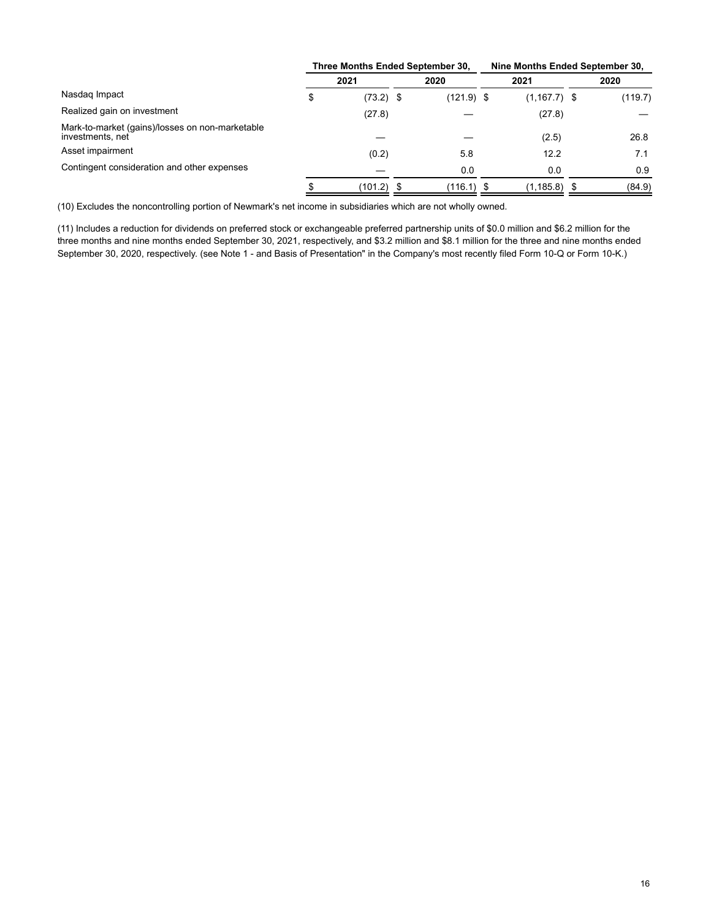| Three Months Ended September 30, |        |  |                           |  |                              |  |                                                                      |
|----------------------------------|--------|--|---------------------------|--|------------------------------|--|----------------------------------------------------------------------|
|                                  | 2021   |  | 2020                      |  | 2021                         |  | 2020                                                                 |
| Φ                                |        |  |                           |  |                              |  | (119.7)                                                              |
|                                  | (27.8) |  |                           |  | (27.8)                       |  |                                                                      |
|                                  |        |  |                           |  | (2.5)                        |  | 26.8                                                                 |
|                                  | (0.2)  |  | 5.8                       |  | 12.2                         |  | 7.1                                                                  |
|                                  |        |  | 0.0                       |  | 0.0                          |  | 0.9                                                                  |
|                                  |        |  |                           |  |                              |  | (84.9)                                                               |
|                                  |        |  | $(73.2)$ \$<br>(101.2) \$ |  | $(121.9)$ \$<br>$(116.1)$ \$ |  | Nine Months Ended September 30,<br>$(1,167.7)$ \$<br>$(1, 185.8)$ \$ |

(10) Excludes the noncontrolling portion of Newmark's net income in subsidiaries which are not wholly owned.

(11) Includes a reduction for dividends on preferred stock or exchangeable preferred partnership units of \$0.0 million and \$6.2 million for the three months and nine months ended September 30, 2021, respectively, and \$3.2 million and \$8.1 million for the three and nine months ended September 30, 2020, respectively. (see Note 1 - and Basis of Presentation" in the Company's most recently filed Form 10-Q or Form 10-K.)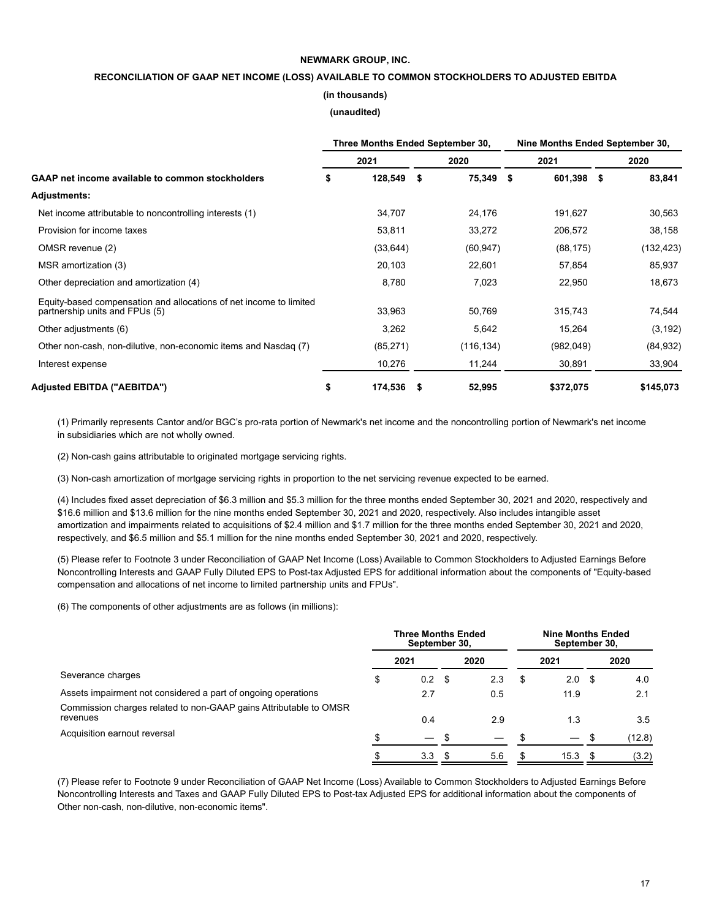#### **NEWMARK GROUP, INC.**

#### **RECONCILIATION OF GAAP NET INCOME (LOSS) AVAILABLE TO COMMON STOCKHOLDERS TO ADJUSTED EBITDA**

#### **(in thousands)**

#### **(unaudited)**

|                                                                                                      | Three Months Ended September 30, |      |            | Nine Months Ended September 30, |            |    |            |  |
|------------------------------------------------------------------------------------------------------|----------------------------------|------|------------|---------------------------------|------------|----|------------|--|
|                                                                                                      | 2021                             |      | 2020       |                                 | 2021       |    | 2020       |  |
| <b>GAAP</b> net income available to common stockholders                                              | \$<br>128,549                    | - \$ | 75,349 \$  |                                 | 601,398    | \$ | 83,841     |  |
| <b>Adjustments:</b>                                                                                  |                                  |      |            |                                 |            |    |            |  |
| Net income attributable to noncontrolling interests (1)                                              | 34,707                           |      | 24,176     |                                 | 191,627    |    | 30,563     |  |
| Provision for income taxes                                                                           | 53,811                           |      | 33,272     |                                 | 206,572    |    | 38,158     |  |
| OMSR revenue (2)                                                                                     | (33, 644)                        |      | (60, 947)  |                                 | (88, 175)  |    | (132, 423) |  |
| MSR amortization (3)                                                                                 | 20,103                           |      | 22,601     |                                 | 57,854     |    | 85,937     |  |
| Other depreciation and amortization (4)                                                              | 8,780                            |      | 7,023      |                                 | 22,950     |    | 18,673     |  |
| Equity-based compensation and allocations of net income to limited<br>partnership units and FPUs (5) | 33,963                           |      | 50,769     |                                 | 315,743    |    | 74,544     |  |
| Other adjustments (6)                                                                                | 3,262                            |      | 5,642      |                                 | 15,264     |    | (3, 192)   |  |
| Other non-cash, non-dilutive, non-economic items and Nasdag (7)                                      | (85, 271)                        |      | (116, 134) |                                 | (982, 049) |    | (84, 932)  |  |
| Interest expense                                                                                     | 10,276                           |      | 11,244     |                                 | 30,891     |    | 33,904     |  |
| <b>Adjusted EBITDA ("AEBITDA")</b>                                                                   | \$<br>174,536                    | \$   | 52,995     |                                 | \$372,075  |    | \$145,073  |  |

(1) Primarily represents Cantor and/or BGC's pro-rata portion of Newmark's net income and the noncontrolling portion of Newmark's net income in subsidiaries which are not wholly owned.

(2) Non-cash gains attributable to originated mortgage servicing rights.

(3) Non-cash amortization of mortgage servicing rights in proportion to the net servicing revenue expected to be earned.

(4) Includes fixed asset depreciation of \$6.3 million and \$5.3 million for the three months ended September 30, 2021 and 2020, respectively and \$16.6 million and \$13.6 million for the nine months ended September 30, 2021 and 2020, respectively. Also includes intangible asset amortization and impairments related to acquisitions of \$2.4 million and \$1.7 million for the three months ended September 30, 2021 and 2020, respectively, and \$6.5 million and \$5.1 million for the nine months ended September 30, 2021 and 2020, respectively.

(5) Please refer to Footnote 3 under Reconciliation of GAAP Net Income (Loss) Available to Common Stockholders to Adjusted Earnings Before Noncontrolling Interests and GAAP Fully Diluted EPS to Post-tax Adjusted EPS for additional information about the components of "Equity-based compensation and allocations of net income to limited partnership units and FPUs".

(6) The components of other adjustments are as follows (in millions):

|                                                                               | <b>Three Months Ended</b><br>September 30, |        |  | <b>Nine Months Ended</b><br>September 30, |    |                               |      |        |
|-------------------------------------------------------------------------------|--------------------------------------------|--------|--|-------------------------------------------|----|-------------------------------|------|--------|
|                                                                               |                                            | 2021   |  | 2020                                      |    | 2021                          |      | 2020   |
| Severance charges                                                             | \$                                         | 0.2    |  | 2.3                                       | \$ | 2.0                           | - \$ | 4.0    |
| Assets impairment not considered a part of ongoing operations                 |                                            | 2.7    |  | 0.5                                       |    | 11.9                          |      | 2.1    |
| Commission charges related to non-GAAP gains Attributable to OMSR<br>revenues |                                            | 0.4    |  | 2.9                                       |    | 1.3                           |      | 3.5    |
| Acquisition earnout reversal                                                  |                                            | $-$ \$ |  |                                           |    | $\overbrace{\phantom{13333}}$ | - \$ | (12.8) |
|                                                                               |                                            | 3.3    |  | 5.6                                       |    | 15.3                          |      | (3.2)  |

(7) Please refer to Footnote 9 under Reconciliation of GAAP Net Income (Loss) Available to Common Stockholders to Adjusted Earnings Before Noncontrolling Interests and Taxes and GAAP Fully Diluted EPS to Post-tax Adjusted EPS for additional information about the components of Other non-cash, non-dilutive, non-economic items".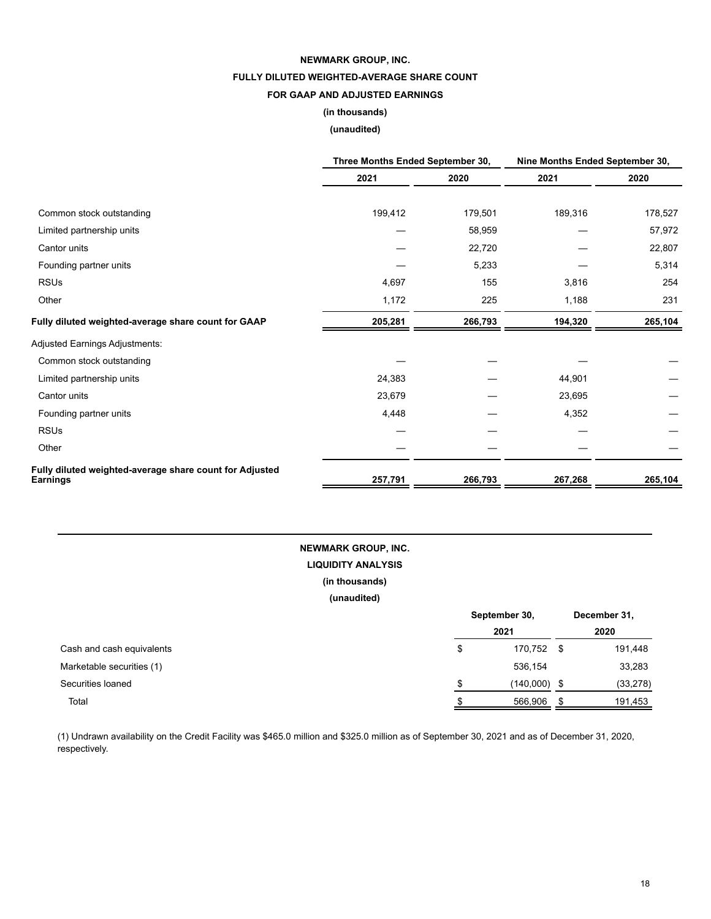## **NEWMARK GROUP, INC. FULLY DILUTED WEIGHTED-AVERAGE SHARE COUNT FOR GAAP AND ADJUSTED EARNINGS**

# **(in thousands)**

# **(unaudited)**

|                                                                     | Three Months Ended September 30, |         | Nine Months Ended September 30, |         |
|---------------------------------------------------------------------|----------------------------------|---------|---------------------------------|---------|
|                                                                     | 2021                             | 2020    | 2021                            | 2020    |
|                                                                     |                                  |         |                                 |         |
| Common stock outstanding                                            | 199,412                          | 179,501 | 189,316                         | 178,527 |
| Limited partnership units                                           |                                  | 58,959  |                                 | 57,972  |
| Cantor units                                                        |                                  | 22,720  |                                 | 22,807  |
| Founding partner units                                              |                                  | 5,233   |                                 | 5,314   |
| <b>RSUs</b>                                                         | 4,697                            | 155     | 3,816                           | 254     |
| Other                                                               | 1,172                            | 225     | 1,188                           | 231     |
| Fully diluted weighted-average share count for GAAP                 | 205,281                          | 266,793 | 194,320                         | 265,104 |
| Adjusted Earnings Adjustments:                                      |                                  |         |                                 |         |
| Common stock outstanding                                            |                                  |         |                                 |         |
| Limited partnership units                                           | 24,383                           |         | 44,901                          |         |
| Cantor units                                                        | 23,679                           |         | 23,695                          |         |
| Founding partner units                                              | 4,448                            |         | 4,352                           |         |
| <b>RSUs</b>                                                         |                                  |         |                                 |         |
| Other                                                               |                                  |         |                                 |         |
| Fully diluted weighted-average share count for Adjusted<br>Earnings | 257,791                          | 266,793 | 267,268                         | 265,104 |

## **NEWMARK GROUP, INC. LIQUIDITY ANALYSIS (in thousands) (unaudited)**

|                           |    | September 30, |   | December 31, |  |
|---------------------------|----|---------------|---|--------------|--|
|                           |    | 2020          |   |              |  |
| Cash and cash equivalents | \$ | 170,752       | S | 191,448      |  |
| Marketable securities (1) |    | 536.154       |   | 33,283       |  |
| Securities loaned         |    | (140,000)     |   | (33, 278)    |  |
| Total                     | S. | 566,906       |   | 191,453      |  |

(1) Undrawn availability on the Credit Facility was \$465.0 million and \$325.0 million as of September 30, 2021 and as of December 31, 2020, respectively.